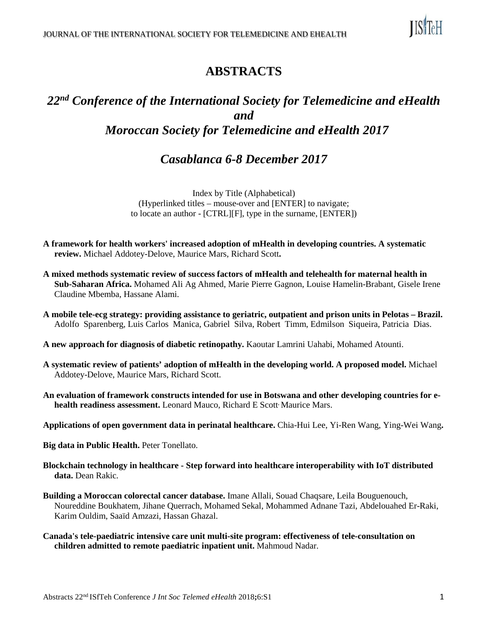

# **ABSTRACTS**

# <span id="page-0-0"></span>*22nd Conference of the International Society for Telemedicine and eHealth and Moroccan Society for Telemedicine and eHealth 2017*

# *Casablanca 6-8 December 2017*

Index by Title (Alphabetical) (Hyperlinked titles – mouse-over and [ENTER] to navigate; to locate an author - [CTRL][F], type in the surname, [ENTER])

- **[A framework for health workers' increased adoption of mHealth in developing countries. A systematic](#page-53-0)  review.** [Michael Addotey-Delove, Maurice Mars, Richard Scott](#page-53-0)**.**
- **[A mixed methods systematic review of success factors of mHealth and telehealth for maternal health in](#page-12-0)  Sub-Saharan Africa.** [Mohamed Ali Ag Ahmed, Marie Pierre Gagnon, Louise Hamelin-Brabant, Gisele Irene](#page-12-0)  [Claudine Mbemba, Hassane Alami.](#page-12-0)
- **[A mobile tele-ecg strategy: providing assistance to geriatric, outpatient and prison units in](#page-18-0) Pelotas – Brazil.**  [Adolfo Sparenberg, Luis Carlos Manica, Gabriel Silva, Robert Timm, Edmilson Siqueira, Patricia Dias.](#page-18-0)
- **[A new approach for diagnosis of diabetic retinopathy.](#page-26-0)** Kaoutar Lamrini Uahabi, Mohamed Atounti.
- **[A systematic review of patients' adoption of mHealth in the developing world. A proposed model.](#page-52-0)** Michael [Addotey-Delove, Maurice Mars, Richard Scott.](#page-52-0)
- **[An evaluation of framework constructs intended for use in Botswana and other developing countries for e](#page-35-0)**health readiness assessment. Leonard Mauco, Richard E Scott<sup>,</sup> Maurice Mars.
- **[Applications of open government data in perinatal healthcare.](#page-25-0)** Chia-Hui Lee, Yi-Ren Wang, Ying-Wei Wang**.**
- **[Big data in Public Health.](#page-48-0)** Peter Tonellato.
- **Blockchain technology in healthcare - [Step forward into healthcare interoperability with IoT](#page-8-0) distributed data.** [Dean Rakic](#page-8-0)*.*
- **[Building a Moroccan colorectal cancer database.](#page-37-0)** Imane Allali, Souad Chaqsare, Leila Bouguenouch, [Noureddine Boukhatem, Jihane Querrach, Mohamed Sekal, Mohammed Adnane Tazi, Abdelouahed Er-Raki,](#page-37-0)  [Karim Ouldim, Saaïd Amzazi, Hassan Ghazal.](#page-37-0)

**[Canada's tele-paediatric intensive care unit multi-site program: effectiveness of tele-consultation on](#page-14-0)  [children admitted to remote paediatric inpatient unit.](#page-14-0)** Mahmoud Nadar.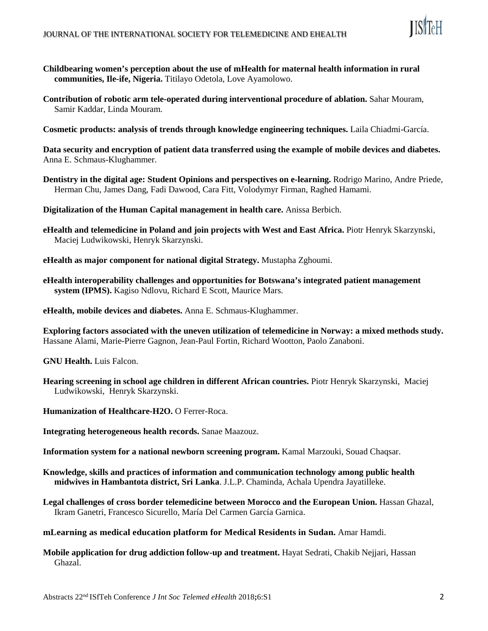

- **[Childbearing women's perception about the use of mHealth for maternal health information in rural](#page-10-0)  communities, Ile-ife, Nigeria.** [Titilayo Odetola, Love Ayamolowo.](#page-10-0)
- **[Contribution of robotic arm tele-operated during interventional procedure of ablation.](#page-41-0)** Sahar Mouram, [Samir Kaddar, Linda Mouram.](#page-41-0)
- **[Cosmetic products: analysis of trends through knowledge engineering techniques.](#page-52-1)** Laila Chiadmi-García.

**[Data security and encryption of patient data transferred using the example of mobile devices and diabetes.](#page-43-0)**  [Anna E. Schmaus-Klughammer.](#page-43-0)

- **[Dentistry in the digital age: Student Opinions and perspectives on e-learning.](#page-15-0)** Rodrigo Marino, Andre Priede, [Herman Chu, James Dang, Fadi Dawood, Cara Fitt, Volodymyr Firman, Raghed Hamami.](#page-15-0)
- **[Digitalization of the Human Capital management in health care.](#page-46-0)** Anissa Berbich.
- **[eHealth and telemedicine in Poland and join projects with West and East Africa.](#page-14-1)** Piotr Henryk Skarzynski, [Maciej Ludwikowski, Henryk Skarzynski.](#page-14-1)
- **[eHealth as major component for national digital Strategy.](#page-45-0)** Mustapha Zghoumi.
- **eHealth [interoperability challenges and opportunities for Botswana's integrated patient management](#page-34-0)  system (IPMS).** [Kagiso Ndlovu, Richard E Scott, Maurice Mars.](#page-34-0)
- **[eHealth, mobile devices and diabetes.](#page-44-0)** Anna E. Schmaus-Klughammer.

**[Exploring factors associated with the uneven utilization of telemedicine in Norway: a mixed methods study.](#page-20-0)**  [Hassane Alami, Marie-Pierre Gagnon, Jean-Paul Fortin, Richard Wootton, Paolo Zanaboni.](#page-20-0)

**[GNU Health.](#page-46-1)** Luis Falcon.

- **[Hearing screening in school age children in different African countries.](#page-14-0)** Piotr Henryk Skarzynski, Maciej [Ludwikowski, Henryk Skarzynski.](#page-14-0)
- **[Humanization of Healthcare-H2O.](#page-4-0)** O Ferrer-Roca.
- **[Integrating heterogeneous health records.](#page-49-0)** Sanae Maazouz.
- **[Information system for a national newborn screening program.](#page-49-1)** Kamal Marzouki, Souad Chaqsar.
- **[Knowledge, skills and practices of information and communication technology among public health](#page-23-0)  midwives in Hambantota district, Sri Lanka**[. J.L.P. Chaminda, Achala Upendra Jayatilleke.](#page-23-0)
- [Legal challenges of cross border telemedicine between Morocco and the European Union.](#page-31-0) Hassan Ghazal, [Ikram Ganetri, Francesco Sicurello, María Del Carmen García Garnica.](#page-31-0)
- **[mLearning as medical education platform for Medical Residents in Sudan.](#page-54-0)** Amar Hamdi.
- **[Mobile application for drug addiction follow-up and treatment.](#page-31-1)** Hayat Sedrati, Chakib Nejjari, Hassan [Ghazal.](#page-31-1)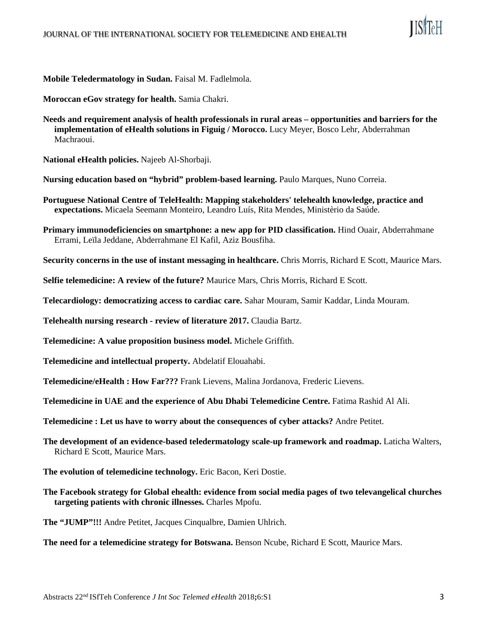

**[Mobile Teledermatology in Sudan.](#page-52-2)** Faisal M. Fadlelmola.

**[Moroccan eGov strategy for health.](#page-44-1)** Samia Chakri.

**Needs [and requirement analysis of health professionals in rural areas –](#page-21-0) opportunities and barriers for the [implementation of eHealth solutions in Figuig / Morocco.](#page-21-0)** Lucy Meyer, Bosco Lehr, Abderrahman [Machraoui.](#page-21-0)

**[National eHealth policies.](#page-45-1)** Najeeb Al-Shorbaji.

**[Nursing education based on "hybrid" problem-based learning.](#page-6-0)** Paulo Marques, Nuno Correia.

- **[Portuguese National Centre of TeleHealth: Mapping stakeholders' telehealth knowledge, practice and](#page-19-0)  expectations.** [Micaela Seemann Monteiro, Leandro Luís, Rita Mendes, Ministèrio da Saúde.](#page-19-0)
- **[Primary immunodeficiencies on smartphone: a new app for PID classification.](#page-50-0)** Hind Ouair, Abderrahmane [Errami, Leïla Jeddane, Abderrahmane El Kafil, Aziz Bousfiha.](#page-50-0)

**[Security concerns in the use of instant messaging in healthcare.](#page-38-0)** Chris Morris, Richard E Scott, Maurice Mars.

**[Selfie telemedicine: A review of the future?](#page-32-0)** Maurice Mars, Chris Morris, Richard E Scott.

**[Telecardiology: democratizing access to cardiac care.](#page-43-1)** Sahar Mouram, Samir Kaddar, Linda Mouram.

**[Telehealth nursing research -](#page-11-0) review of literature 2017.** Claudia Bartz.

**[Telemedicine: A value proposition business model.](#page-19-1)** Michele Griffith.

**[Telemedicine and intellectual property.](#page-40-0)** Abdelatif Elouahabi.

**Telemedicine/eHealth : How Far???** [Frank Lievens, Malina Jordanova, Frederic Lievens.](#page-26-1)

**[Telemedicine in UAE and the experience of Abu Dhabi Telemedicine Centre.](#page-48-1)** Fatima Rashid Al Ali.

**[Telemedicine : Let us have to worry about the consequences of cyber attacks?](#page-39-0)** Andre Petitet.

**[The development of an evidence-based teledermatology scale-up framework and roadmap.](#page-36-0)** Laticha Walters, [Richard E Scott, Maurice Mars.](#page-36-0)

**[The evolution of telemedicine technology.](#page-17-0)** Eric Bacon, Keri Dostie.

**[The Facebook strategy for Global ehealth: evidence from social media pages of two televangelical churches](#page-40-1)  [targeting patients with chronic illnesses.](#page-40-1)** Charles Mpofu.

**The "JUMP"!!!** [Andre Petitet, Jacques Cinqualbre, Damien Uhlrich.](#page-39-1)

**[The need for a telemedicine strategy for Botswana.](#page-33-0)** Benson Ncube, Richard E Scott, Maurice Mars.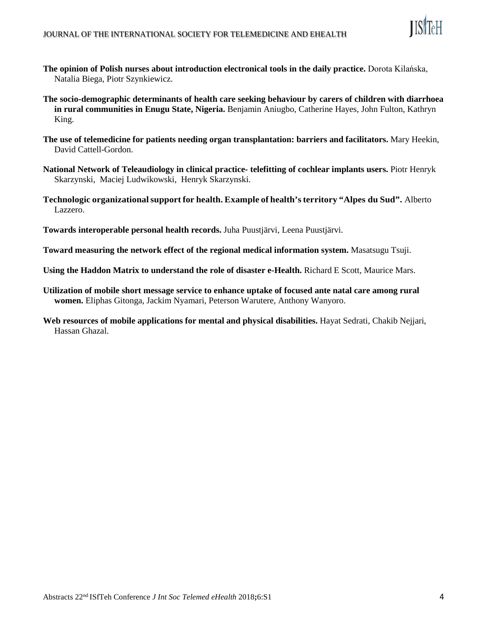

- **[The opinion of Polish nurses about introduction electronical tools in the daily practice.](#page-16-0)** Dorota Kilańska, [Natalia Biega, Piotr Szynkiewicz.](#page-16-0)
- **[The socio-demographic determinants of health care seeking behaviour by carers of children with diarrhoea](#page-5-0)  in rural communities in Enugu State, Nigeria.** [Benjamin Aniugbo, Catherine Hayes, John Fulton, Kathryn](#page-5-0)  [King.](#page-5-0)
- **[The use of telemedicine for patients needing organ transplantation: barriers and facilitators.](#page-9-0)** Mary Heekin, [David Cattell-Gordon.](#page-9-0)
- **[National Network of Teleaudiology in clinical practice-](#page-15-1) telefitting of cochlear implants users.** Piotr Henryk [Skarzynski, Maciej Ludwikowski, Henryk Skarzynski.](#page-15-1)
- **Technologic [organizationalsupport](#page-55-0) for health. Example of health'sterritory "Alpes du Sud".** Alberto [Lazzero.](#page-55-0)
- **[Towards interoperable personal health records.](#page-9-1)** Juha Puustjärvi, Leena Puustjärvi.

**[Toward measuring the network effect of the regional medical information system.](#page-28-0)** Masatsugu Tsuji.

- **[Using the Haddon Matrix to understand the role of disaster e-Health.](#page-27-0)** Richard E Scott, Maurice Mars.
- **[Utilization of mobile short message service to enhance uptake of focused ante natal care among rural](#page-4-1)  women.** [Eliphas Gitonga, Jackim Nyamari, Peterson Warutere, Anthony Wanyoro.](#page-4-1)
- [Web resources of mobile applications for mental and physical disabilities.](#page-30-0) Hayat Sedrati, Chakib Nejjari, [Hassan Ghazal.](#page-30-0)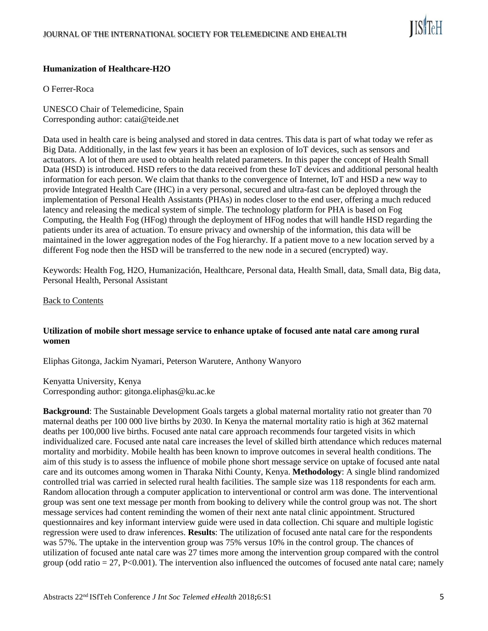

#### <span id="page-4-0"></span>**Humanization of Healthcare-H2O**

O Ferrer-Roca

UNESCO Chair of Telemedicine, Spain Corresponding author: catai@teide.net

Data used in health care is being analysed and stored in data centres. This data is part of what today we refer as Big Data. Additionally, in the last few years it has been an explosion of IoT devices, such as sensors and actuators. A lot of them are used to obtain health related parameters. In this paper the concept of Health Small Data (HSD) is introduced. HSD refers to the data received from these IoT devices and additional personal health information for each person. We claim that thanks to the convergence of Internet, IoT and HSD a new way to provide Integrated Health Care (IHC) in a very personal, secured and ultra-fast can be deployed through the implementation of Personal Health Assistants (PHAs) in nodes closer to the end user, offering a much reduced latency and releasing the medical system of simple. The technology platform for PHA is based on Fog Computing, the Health Fog (HFog) through the deployment of HFog nodes that will handle HSD regarding the patients under its area of actuation. To ensure privacy and ownership of the information, this data will be maintained in the lower aggregation nodes of the Fog hierarchy. If a patient move to a new location served by a different Fog node then the HSD will be transferred to the new node in a secured (encrypted) way.

Keywords: Health Fog, H2O, Humanización, Healthcare, Personal data, Health Small, data, Small data, Big data, Personal Health, Personal Assistant

[Back to Contents](#page-0-0)

#### <span id="page-4-1"></span>**Utilization of mobile short message service to enhance uptake of focused ante natal care among rural women**

Eliphas Gitonga, Jackim Nyamari, Peterson Warutere, Anthony Wanyoro

Kenyatta University, Kenya Corresponding author: gitonga.eliphas@ku.ac.ke

**Background**: The Sustainable Development Goals targets a global maternal mortality ratio not greater than 70 maternal deaths per 100 000 live births by 2030. In Kenya the maternal mortality ratio is high at 362 maternal deaths per 100,000 live births. Focused ante natal care approach recommends four targeted visits in which individualized care. Focused ante natal care increases the level of skilled birth attendance which reduces maternal mortality and morbidity. Mobile health has been known to improve outcomes in several health conditions. The aim of this study is to assess the influence of mobile phone short message service on uptake of focused ante natal care and its outcomes among women in Tharaka Nithi County, Kenya. **Methodology**: A single blind randomized controlled trial was carried in selected rural health facilities. The sample size was 118 respondents for each arm. Random allocation through a computer application to interventional or control arm was done. The interventional group was sent one text message per month from booking to delivery while the control group was not. The short message services had content reminding the women of their next ante natal clinic appointment. Structured questionnaires and key informant interview guide were used in data collection. Chi square and multiple logistic regression were used to draw inferences. **Results**: The utilization of focused ante natal care for the respondents was 57%. The uptake in the intervention group was 75% versus 10% in the control group. The chances of utilization of focused ante natal care was 27 times more among the intervention group compared with the control group (odd ratio  $= 27$ , P<0.001). The intervention also influenced the outcomes of focused ante natal care; namely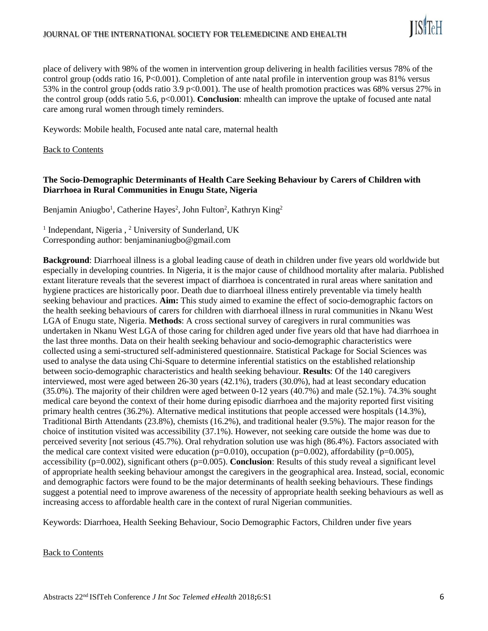

place of delivery with 98% of the women in intervention group delivering in health facilities versus 78% of the control group (odds ratio 16, P<0.001). Completion of ante natal profile in intervention group was 81% versus 53% in the control group (odds ratio 3.9 p<0.001). The use of health promotion practices was 68% versus 27% in the control group (odds ratio 5.6, p<0.001). **Conclusion**: mhealth can improve the uptake of focused ante natal care among rural women through timely reminders.

Keywords: Mobile health, Focused ante natal care, maternal health

[Back to Contents](#page-0-0)

# <span id="page-5-0"></span>**The Socio-Demographic Determinants of Health Care Seeking Behaviour by Carers of Children with Diarrhoea in Rural Communities in Enugu State, Nigeria**

Benjamin Aniugbo<sup>1</sup>, Catherine Hayes<sup>2</sup>, John Fulton<sup>2</sup>, Kathryn King<sup>2</sup>

 $<sup>1</sup>$  Independant, Nigeria,  $<sup>2</sup>$  University of Sunderland, UK</sup></sup> Corresponding author: benjaminaniugbo@gmail.com

**Background**: Diarrhoeal illness is a global leading cause of death in children under five years old worldwide but especially in developing countries. In Nigeria, it is the major cause of childhood mortality after malaria. Published extant literature reveals that the severest impact of diarrhoea is concentrated in rural areas where sanitation and hygiene practices are historically poor. Death due to diarrhoeal illness entirely preventable via timely health seeking behaviour and practices. **Aim:** This study aimed to examine the effect of socio-demographic factors on the health seeking behaviours of carers for children with diarrhoeal illness in rural communities in Nkanu West LGA of Enugu state, Nigeria. **Methods**: A cross sectional survey of caregivers in rural communities was undertaken in Nkanu West LGA of those caring for children aged under five years old that have had diarrhoea in the last three months. Data on their health seeking behaviour and socio-demographic characteristics were collected using a semi-structured self-administered questionnaire. Statistical Package for Social Sciences was used to analyse the data using Chi-Square to determine inferential statistics on the established relationship between socio-demographic characteristics and health seeking behaviour. **Results**: Of the 140 caregivers interviewed, most were aged between 26-30 years (42.1%), traders (30.0%), had at least secondary education (35.0%). The majority of their children were aged between 0-12 years (40.7%) and male (52.1%). 74.3% sought medical care beyond the context of their home during episodic diarrhoea and the majority reported first visiting primary health centres (36.2%). Alternative medical institutions that people accessed were hospitals (14.3%), Traditional Birth Attendants (23.8%), chemists (16.2%), and traditional healer (9.5%). The major reason for the choice of institution visited was accessibility (37.1%). However, not seeking care outside the home was due to perceived severity [not serious (45.7%). Oral rehydration solution use was high (86.4%). Factors associated with the medical care context visited were education ( $p=0.010$ ), occupation ( $p=0.002$ ), affordability ( $p=0.005$ ), accessibility (p=0.002), significant others (p=0.005). **Conclusion**: Results of this study reveal a significant level of appropriate health seeking behaviour amongst the caregivers in the geographical area. Instead, social, economic and demographic factors were found to be the major determinants of health seeking behaviours. These findings suggest a potential need to improve awareness of the necessity of appropriate health seeking behaviours as well as increasing access to affordable health care in the context of rural Nigerian communities.

Keywords: Diarrhoea, Health Seeking Behaviour, Socio Demographic Factors, Children under five years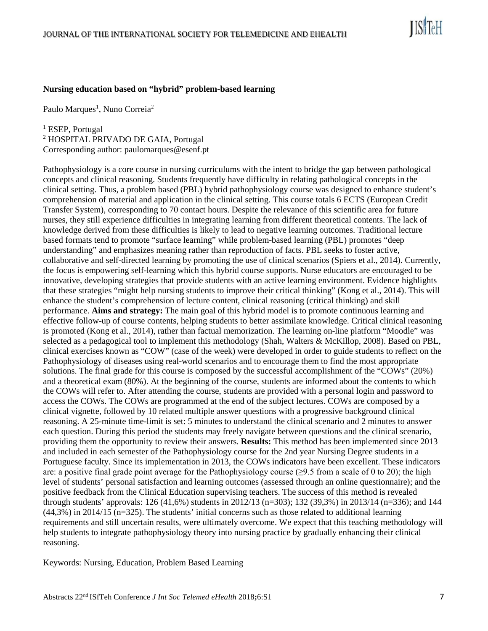

#### <span id="page-6-0"></span>**Nursing education based on "hybrid" problem-based learning**

Paulo Marques<sup>1</sup>, Nuno Correia<sup>2</sup>

<sup>1</sup> ESEP. Portugal

<sup>2</sup> HOSPITAL PRIVADO DE GAIA, Portugal Corresponding author: paulomarques@esenf.pt

Pathophysiology is a core course in nursing curriculums with the intent to bridge the gap between pathological concepts and clinical reasoning. Students frequently have difficulty in relating pathological concepts in the clinical setting. Thus, a problem based (PBL) hybrid pathophysiology course was designed to enhance student's comprehension of material and application in the clinical setting. This course totals 6 ECTS (European Credit Transfer System), corresponding to 70 contact hours. Despite the relevance of this scientific area for future nurses, they still experience difficulties in integrating learning from different theoretical contents. The lack of knowledge derived from these difficulties is likely to lead to negative learning outcomes. Traditional lecture based formats tend to promote "surface learning" while problem-based learning (PBL) promotes "deep understanding" and emphasizes meaning rather than reproduction of facts. PBL seeks to foster active, collaborative and self-directed learning by promoting the use of clinical scenarios (Spiers et al., 2014). Currently, the focus is empowering self-learning which this hybrid course supports. Nurse educators are encouraged to be innovative, developing strategies that provide students with an active learning environment. Evidence highlights that these strategies "might help nursing students to improve their critical thinking" (Kong et al., 2014). This will enhance the student's comprehension of lecture content, clinical reasoning (critical thinking) and skill performance. **Aims and strategy:** The main goal of this hybrid model is to promote continuous learning and effective follow-up of course contents, helping students to better assimilate knowledge. Critical clinical reasoning is promoted (Kong et al., 2014), rather than factual memorization. The learning on-line platform "Moodle" was selected as a pedagogical tool to implement this methodology (Shah, Walters & McKillop, 2008). Based on PBL, clinical exercises known as "COW" (case of the week) were developed in order to guide students to reflect on the Pathophysiology of diseases using real-world scenarios and to encourage them to find the most appropriate solutions. The final grade for this course is composed by the successful accomplishment of the "COWs" (20%) and a theoretical exam (80%). At the beginning of the course, students are informed about the contents to which the COWs will refer to. After attending the course, students are provided with a personal login and password to access the COWs. The COWs are programmed at the end of the subject lectures. COWs are composed by a clinical vignette, followed by 10 related multiple answer questions with a progressive background clinical reasoning. A 25-minute time-limit is set: 5 minutes to understand the clinical scenario and 2 minutes to answer each question. During this period the students may freely navigate between questions and the clinical scenario, providing them the opportunity to review their answers. **Results:** This method has been implemented since 2013 and included in each semester of the Pathophysiology course for the 2nd year Nursing Degree students in a Portuguese faculty. Since its implementation in 2013, the COWs indicators have been excellent. These indicators are: a positive final grade point average for the Pathophysiology course ( $\geq 9.5$  from a scale of 0 to 20); the high level of students' personal satisfaction and learning outcomes (assessed through an online questionnaire); and the positive feedback from the Clinical Education supervising teachers. The success of this method is revealed through students' approvals: 126 (41,6%) students in 2012/13 (n=303); 132 (39,3%) in 2013/14 (n=336); and 144 (44,3%) in 2014/15 (n=325). The students' initial concerns such as those related to additional learning requirements and still uncertain results, were ultimately overcome. We expect that this teaching methodology will help students to integrate pathophysiology theory into nursing practice by gradually enhancing their clinical reasoning.

Keywords: Nursing, Education, Problem Based Learning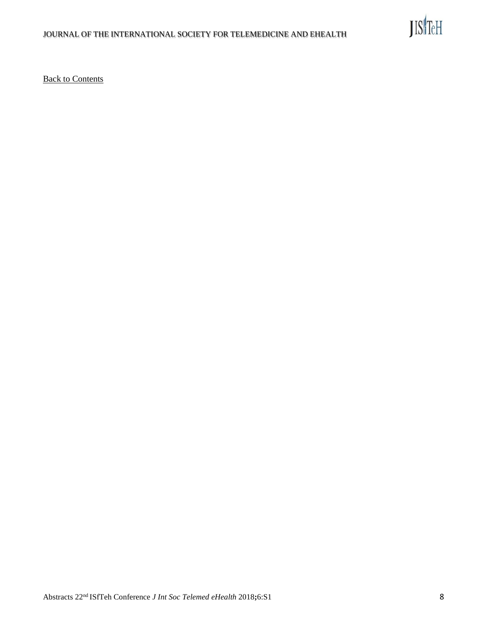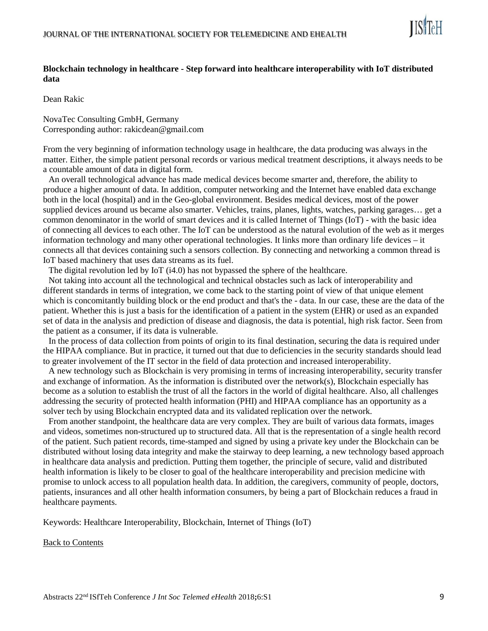

### <span id="page-8-0"></span>**Blockchain technology in healthcare - Step forward into healthcare interoperability with IoT distributed data**

Dean Rakic

NovaTec Consulting GmbH, Germany Corresponding author: rakicdean@gmail.com

From the very beginning of information technology usage in healthcare, the data producing was always in the matter. Either, the simple patient personal records or various medical treatment descriptions, it always needs to be a countable amount of data in digital form.

An overall technological advance has made medical devices become smarter and, therefore, the ability to produce a higher amount of data. In addition, computer networking and the Internet have enabled data exchange both in the local (hospital) and in the Geo-global environment. Besides medical devices, most of the power supplied devices around us became also smarter. Vehicles, trains, planes, lights, watches, parking garages… get a common denominator in the world of smart devices and it is called Internet of Things (IoT) - with the basic idea of connecting all devices to each other. The IoT can be understood as the natural evolution of the web as it merges information technology and many other operational technologies. It links more than ordinary life devices – it connects all that devices containing such a sensors collection. By connecting and networking a common thread is IoT based machinery that uses data streams as its fuel.

The digital revolution led by IoT (i4.0) has not bypassed the sphere of the healthcare.

Not taking into account all the technological and technical obstacles such as lack of interoperability and different standards in terms of integration, we come back to the starting point of view of that unique element which is concomitantly building block or the end product and that's the - data. In our case, these are the data of the patient. Whether this is just a basis for the identification of a patient in the system (EHR) or used as an expanded set of data in the analysis and prediction of disease and diagnosis, the data is potential, high risk factor. Seen from the patient as a consumer, if its data is vulnerable.

In the process of data collection from points of origin to its final destination, securing the data is required under the HIPAA compliance. But in practice, it turned out that due to deficiencies in the security standards should lead to greater involvement of the IT sector in the field of data protection and increased interoperability.

A new technology such as Blockchain is very promising in terms of increasing interoperability, security transfer and exchange of information. As the information is distributed over the network(s), Blockchain especially has become as a solution to establish the trust of all the factors in the world of digital healthcare. Also, all challenges addressing the security of protected health information (PHI) and HIPAA compliance has an opportunity as a solver tech by using Blockchain encrypted data and its validated replication over the network.

From another standpoint, the healthcare data are very complex. They are built of various data formats, images and videos, sometimes non-structured up to structured data. All that is the representation of a single health record of the patient. Such patient records, time-stamped and signed by using a private key under the Blockchain can be distributed without losing data integrity and make the stairway to deep learning, a new technology based approach in healthcare data analysis and prediction. Putting them together, the principle of secure, valid and distributed health information is likely to be closer to goal of the healthcare interoperability and precision medicine with promise to unlock access to all population health data. In addition, the caregivers, community of people, doctors, patients, insurances and all other health information consumers, by being a part of Blockchain reduces a fraud in healthcare payments.

Keywords: Healthcare Interoperability, Blockchain, Internet of Things (IoT)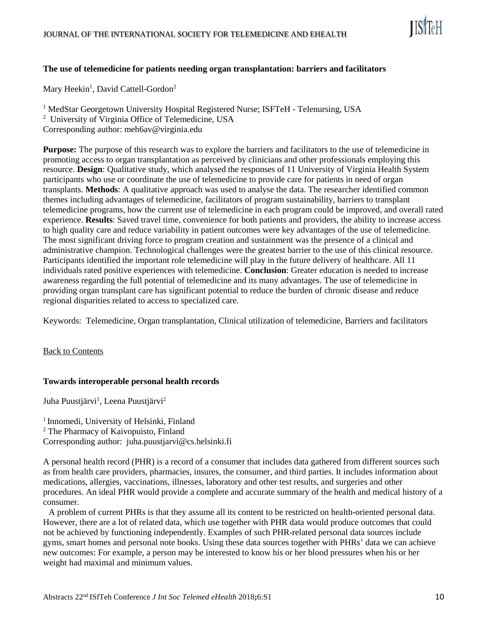

### <span id="page-9-0"></span>**The use of telemedicine for patients needing organ transplantation: barriers and facilitators**

Mary Heekin<sup>1</sup>, David Cattell-Gordon<sup>2</sup>

<sup>1</sup> MedStar Georgetown University Hospital Registered Nurse; ISFTeH - Telenursing, USA <sup>2</sup> University of Virginia Office of Telemedicine, USA

Corresponding author: meh6av@virginia.edu

**Purpose:** The purpose of this research was to explore the barriers and facilitators to the use of telemedicine in promoting access to organ transplantation as perceived by clinicians and other professionals employing this resource. **Design**: Qualitative study, which analysed the responses of 11 University of Virginia Health System participants who use or coordinate the use of telemedicine to provide care for patients in need of organ transplants. **Methods**: A qualitative approach was used to analyse the data. The researcher identified common themes including advantages of telemedicine, facilitators of program sustainability, barriers to transplant telemedicine programs, how the current use of telemedicine in each program could be improved, and overall rated experience. **Results**: Saved travel time, convenience for both patients and providers, the ability to increase access to high quality care and reduce variability in patient outcomes were key advantages of the use of telemedicine. The most significant driving force to program creation and sustainment was the presence of a clinical and administrative champion. Technological challenges were the greatest barrier to the use of this clinical resource. Participants identified the important role telemedicine will play in the future delivery of healthcare. All 11 individuals rated positive experiences with telemedicine. **Conclusion**: Greater education is needed to increase awareness regarding the full potential of telemedicine and its many advantages. The use of telemedicine in providing organ transplant care has significant potential to reduce the burden of chronic disease and reduce regional disparities related to access to specialized care.

Keywords: Telemedicine, Organ transplantation, Clinical utilization of telemedicine, Barriers and facilitators

#### [Back to Contents](#page-0-0)

#### <span id="page-9-1"></span>**Towards interoperable personal health records**

Juha Puustjärvi<sup>1</sup>, Leena Puustjärvi<sup>2</sup>

<sup>1</sup> Innomedi, University of Helsinki, Finland <sup>2</sup> The Pharmacy of Kaivopuisto, Finland Corresponding author: juha.puustjarvi@cs.helsinki.fi

A personal health record (PHR) is a record of a consumer that includes data gathered from different sources such as from health care providers, pharmacies, insures, the consumer, and third parties. It includes information about medications, allergies, vaccinations, illnesses, laboratory and other test results, and surgeries and other procedures. An ideal PHR would provide a complete and accurate summary of the health and medical history of a consumer.

A problem of current PHRs is that they assume all its content to be restricted on health-oriented personal data. However, there are a lot of related data, which use together with PHR data would produce outcomes that could not be achieved by functioning independently. Examples of such PHR-related personal data sources include gyms, smart homes and personal note books. Using these data sources together with PHRs' data we can achieve new outcomes: For example, a person may be interested to know his or her blood pressures when his or her weight had maximal and minimum values.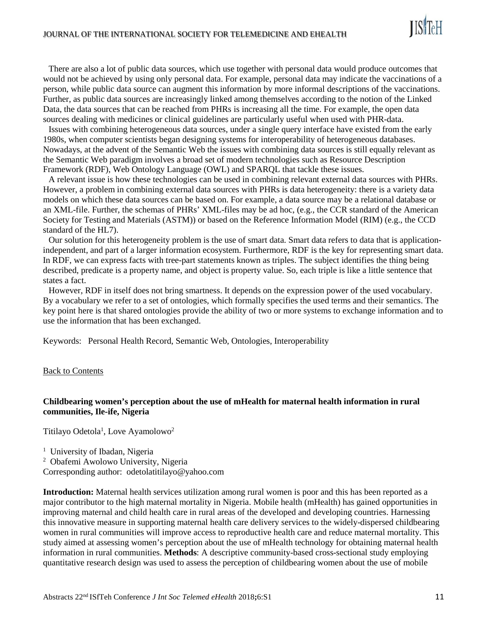

There are also a lot of public data sources, which use together with personal data would produce outcomes that would not be achieved by using only personal data. For example, personal data may indicate the vaccinations of a person, while public data source can augment this information by more informal descriptions of the vaccinations. Further, as public data sources are increasingly linked among themselves according to the notion of the Linked Data, the data sources that can be reached from PHRs is increasing all the time. For example, the open data sources dealing with medicines or clinical guidelines are particularly useful when used with PHR-data.

Issues with combining heterogeneous data sources, under a single query interface have existed from the early 1980s, when computer scientists began designing systems for interoperability of heterogeneous databases. Nowadays, at the advent of the Semantic Web the issues with combining data sources is still equally relevant as the Semantic Web paradigm involves a broad set of modern technologies such as Resource Description Framework (RDF), Web Ontology Language (OWL) and SPARQL that tackle these issues.

A relevant issue is how these technologies can be used in combining relevant external data sources with PHRs. However, a problem in combining external data sources with PHRs is data heterogeneity: there is a variety data models on which these data sources can be based on. For example, a data source may be a relational database or an XML-file. Further, the schemas of PHRs' XML-files may be ad hoc, (e.g., the CCR standard of the American Society for Testing and Materials (ASTM)) or based on the Reference Information Model (RIM) (e.g., the CCD standard of the HL7).

Our solution for this heterogeneity problem is the use of smart data. Smart data refers to data that is applicationindependent, and part of a larger information ecosystem. Furthermore, RDF is the key for representing smart data. In RDF, we can express facts with tree-part statements known as triples. The subject identifies the thing being described, predicate is a property name, and object is property value. So, each triple is like a little sentence that states a fact.

However, RDF in itself does not bring smartness. It depends on the expression power of the used vocabulary. By a vocabulary we refer to a set of ontologies, which formally specifies the used terms and their semantics. The key point here is that shared ontologies provide the ability of two or more systems to exchange information and to use the information that has been exchanged.

Keywords: Personal Health Record, Semantic Web, Ontologies, Interoperability

#### [Back to Contents](#page-0-0)

#### <span id="page-10-0"></span>**Childbearing women's perception about the use of mHealth for maternal health information in rural communities, Ile-ife, Nigeria**

Titilayo Odetola<sup>1</sup>, Love Ayamolowo<sup>2</sup>

<sup>1</sup> University of Ibadan, Nigeria

2 Obafemi Awolowo University, Nigeria

Corresponding author: odetolatitilayo@yahoo.com

**Introduction:** Maternal health services utilization among rural women is poor and this has been reported as a major contributor to the high maternal mortality in Nigeria. Mobile health (mHealth) has gained opportunities in improving maternal and child health care in rural areas of the developed and developing countries. Harnessing this innovative measure in supporting maternal health care delivery services to the widely-dispersed childbearing women in rural communities will improve access to reproductive health care and reduce maternal mortality. This study aimed at assessing women's perception about the use of mHealth technology for obtaining maternal health information in rural communities. **Methods**: A descriptive community-based cross-sectional study employing quantitative research design was used to assess the perception of childbearing women about the use of mobile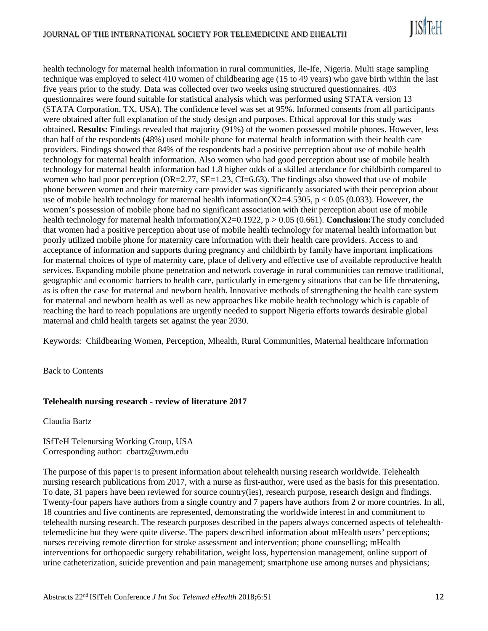

health technology for maternal health information in rural communities, Ile-Ife, Nigeria. Multi stage sampling technique was employed to select 410 women of childbearing age (15 to 49 years) who gave birth within the last five years prior to the study. Data was collected over two weeks using structured questionnaires. 403 questionnaires were found suitable for statistical analysis which was performed using STATA version 13 (STATA Corporation, TX, USA). The confidence level was set at 95%. Informed consents from all participants were obtained after full explanation of the study design and purposes. Ethical approval for this study was obtained. **Results:** Findings revealed that majority (91%) of the women possessed mobile phones. However, less than half of the respondents (48%) used mobile phone for maternal health information with their health care providers. Findings showed that 84% of the respondents had a positive perception about use of mobile health technology for maternal health information. Also women who had good perception about use of mobile health technology for maternal health information had 1.8 higher odds of a skilled attendance for childbirth compared to women who had poor perception (OR=2.77, SE=1.23, CI=6.63). The findings also showed that use of mobile phone between women and their maternity care provider was significantly associated with their perception about use of mobile health technology for maternal health information( $X2=4.5305$ , p < 0.05 (0.033). However, the women's possession of mobile phone had no significant association with their perception about use of mobile health technology for maternal health information(X2=0.1922, p > 0.05 (0.661). **Conclusion:** The study concluded that women had a positive perception about use of mobile health technology for maternal health information but poorly utilized mobile phone for maternity care information with their health care providers. Access to and acceptance of information and supports during pregnancy and childbirth by family have important implications for maternal choices of type of maternity care, place of delivery and effective use of available reproductive health services. Expanding mobile phone penetration and network coverage in rural communities can remove traditional, geographic and economic barriers to health care, particularly in emergency situations that can be life threatening, as is often the case for maternal and newborn health. Innovative methods of strengthening the health care system for maternal and newborn health as well as new approaches like mobile health technology which is capable of reaching the hard to reach populations are urgently needed to support Nigeria efforts towards desirable global maternal and child health targets set against the year 2030.

Keywords: Childbearing Women, Perception, Mhealth, Rural Communities, Maternal healthcare information

# [Back to Contents](#page-0-0)

#### <span id="page-11-0"></span>**Telehealth nursing research - review of literature 2017**

Claudia Bartz

ISfTeH Telenursing Working Group, USA Corresponding author: cbartz@uwm.edu

The purpose of this paper is to present information about telehealth nursing research worldwide. Telehealth nursing research publications from 2017, with a nurse as first-author, were used as the basis for this presentation. To date, 31 papers have been reviewed for source country(ies), research purpose, research design and findings. Twenty-four papers have authors from a single country and 7 papers have authors from 2 or more countries. In all, 18 countries and five continents are represented, demonstrating the worldwide interest in and commitment to telehealth nursing research. The research purposes described in the papers always concerned aspects of telehealthtelemedicine but they were quite diverse. The papers described information about mHealth users' perceptions; nurses receiving remote direction for stroke assessment and intervention; phone counselling; mHealth interventions for orthopaedic surgery rehabilitation, weight loss, hypertension management, online support of urine catheterization, suicide prevention and pain management; smartphone use among nurses and physicians;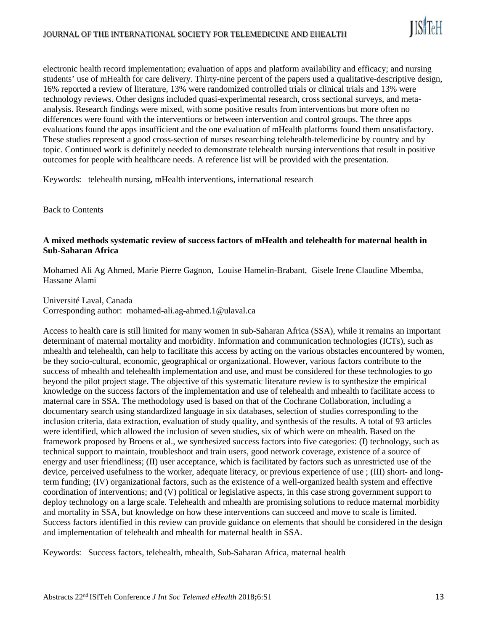

electronic health record implementation; evaluation of apps and platform availability and efficacy; and nursing students' use of mHealth for care delivery. Thirty-nine percent of the papers used a qualitative-descriptive design, 16% reported a review of literature, 13% were randomized controlled trials or clinical trials and 13% were technology reviews. Other designs included quasi-experimental research, cross sectional surveys, and metaanalysis. Research findings were mixed, with some positive results from interventions but more often no differences were found with the interventions or between intervention and control groups. The three apps evaluations found the apps insufficient and the one evaluation of mHealth platforms found them unsatisfactory. These studies represent a good cross-section of nurses researching telehealth-telemedicine by country and by topic. Continued work is definitely needed to demonstrate telehealth nursing interventions that result in positive outcomes for people with healthcare needs. A reference list will be provided with the presentation.

Keywords: telehealth nursing, mHealth interventions, international research

#### [Back to Contents](#page-0-0)

### <span id="page-12-0"></span>**A mixed methods systematic review of success factors of mHealth and telehealth for maternal health in Sub-Saharan Africa**

Mohamed Ali Ag Ahmed, Marie Pierre Gagnon, Louise Hamelin-Brabant, Gisele Irene Claudine Mbemba, Hassane Alami

# Université Laval, Canada

Corresponding author: mohamed-ali.ag-ahmed.1@ulaval.ca

Access to health care is still limited for many women in sub-Saharan Africa (SSA), while it remains an important determinant of maternal mortality and morbidity. Information and communication technologies (ICTs), such as mhealth and telehealth, can help to facilitate this access by acting on the various obstacles encountered by women, be they socio-cultural, economic, geographical or organizational. However, various factors contribute to the success of mhealth and telehealth implementation and use, and must be considered for these technologies to go beyond the pilot project stage. The objective of this systematic literature review is to synthesize the empirical knowledge on the success factors of the implementation and use of telehealth and mhealth to facilitate access to maternal care in SSA. The methodology used is based on that of the Cochrane Collaboration, including a documentary search using standardized language in six databases, selection of studies corresponding to the inclusion criteria, data extraction, evaluation of study quality, and synthesis of the results. A total of 93 articles were identified, which allowed the inclusion of seven studies, six of which were on mhealth. Based on the framework proposed by Broens et al., we synthesized success factors into five categories: (I) technology, such as technical support to maintain, troubleshoot and train users, good network coverage, existence of a source of energy and user friendliness; (II) user acceptance, which is facilitated by factors such as unrestricted use of the device, perceived usefulness to the worker, adequate literacy, or previous experience of use ; (III) short- and longterm funding; (IV) organizational factors, such as the existence of a well-organized health system and effective coordination of interventions; and (V) political or legislative aspects, in this case strong government support to deploy technology on a large scale. Telehealth and mhealth are promising solutions to reduce maternal morbidity and mortality in SSA, but knowledge on how these interventions can succeed and move to scale is limited. Success factors identified in this review can provide guidance on elements that should be considered in the design and implementation of telehealth and mhealth for maternal health in SSA.

Keywords: Success factors, telehealth, mhealth, Sub-Saharan Africa, maternal health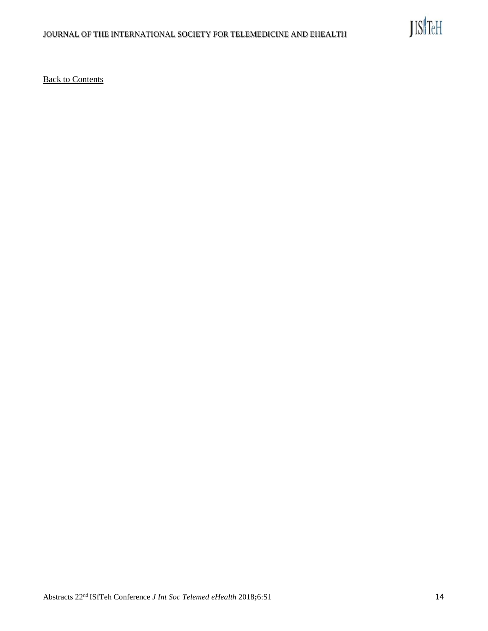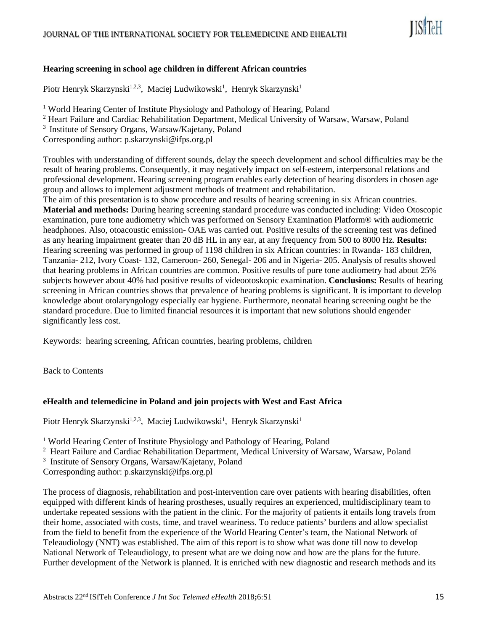### <span id="page-14-0"></span>**Hearing screening in school age children in different African countries**

Piotr Henryk Skarzynski<sup>1,2,3</sup>, Maciej Ludwikowski<sup>1</sup>, Henryk Skarzynski<sup>1</sup>

<sup>1</sup> World Hearing Center of Institute Physiology and Pathology of Hearing, Poland

<sup>2</sup> Heart Failure and Cardiac Rehabilitation Department, Medical University of Warsaw, Warsaw, Poland

3 Institute of Sensory Organs, Warsaw/Kajetany, Poland

Corresponding author: p.skarzynski@ifps.org.pl

Troubles with understanding of different sounds, delay the speech development and school difficulties may be the result of hearing problems. Consequently, it may negatively impact on self-esteem, interpersonal relations and professional development. Hearing screening program enables early detection of hearing disorders in chosen age group and allows to implement adjustment methods of treatment and rehabilitation.

The aim of this presentation is to show procedure and results of hearing screening in six African countries. **Material and methods:** During hearing screening standard procedure was conducted including: Video Otoscopic examination, pure tone audiometry which was performed on Sensory Examination Platform® with audiometric headphones. Also, otoacoustic emission- OAE was carried out. Positive results of the screening test was defined as any hearing impairment greater than 20 dB HL in any ear, at any frequency from 500 to 8000 Hz. **Results:** Hearing screening was performed in group of 1198 children in six African countries: in Rwanda- 183 children, Tanzania- 212, Ivory Coast- 132, Cameroon- 260, Senegal- 206 and in Nigeria- 205. Analysis of results showed that hearing problems in African countries are common. Positive results of pure tone audiometry had about 25% subjects however about 40% had positive results of videootoskopic examination. **Conclusions:** Results of hearing screening in African countries shows that prevalence of hearing problems is significant. It is important to develop knowledge about otolaryngology especially ear hygiene. Furthermore, neonatal hearing screening ought be the standard procedure. Due to limited financial resources it is important that new solutions should engender significantly less cost.

Keywords: hearing screening, African countries, hearing problems, children

#### [Back to Contents](#page-0-0)

#### <span id="page-14-1"></span>**eHealth and telemedicine in Poland and join projects with West and East Africa**

Piotr Henryk Skarzynski<sup>1,2,3</sup>, Maciej Ludwikowski<sup>1</sup>, Henryk Skarzynski<sup>1</sup>

<sup>1</sup> World Hearing Center of Institute Physiology and Pathology of Hearing, Poland

<sup>2</sup> Heart Failure and Cardiac Rehabilitation Department, Medical University of Warsaw, Warsaw, Poland

<sup>3</sup> Institute of Sensory Organs, Warsaw/Kajetany, Poland

Corresponding author: p.skarzynski@ifps.org.pl

The process of diagnosis, rehabilitation and post-intervention care over patients with hearing disabilities, often equipped with different kinds of hearing prostheses, usually requires an experienced, multidisciplinary team to undertake repeated sessions with the patient in the clinic. For the majority of patients it entails long travels from their home, associated with costs, time, and travel weariness. To reduce patients' burdens and allow specialist from the field to benefit from the experience of the World Hearing Center's team, the National Network of Teleaudiology (NNT) was established. The aim of this report is to show what was done till now to develop National Network of Teleaudiology, to present what are we doing now and how are the plans for the future. Further development of the Network is planned. It is enriched with new diagnostic and research methods and its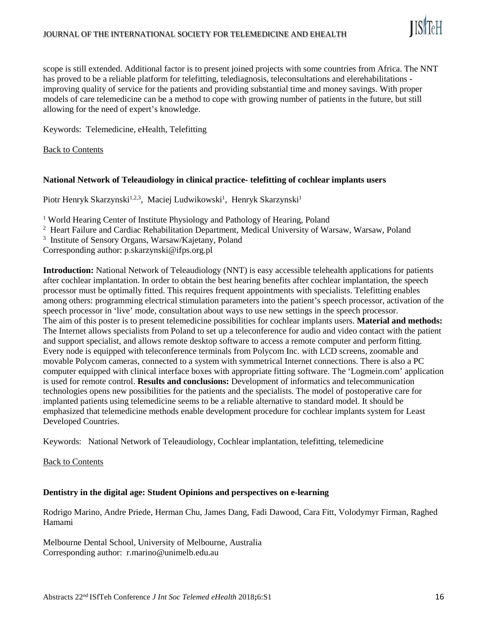

scope is still extended. Additional factor is to present joined projects with some countries from Africa. The NNT has proved to be a reliable platform for telefitting, telediagnosis, teleconsultations and elerehabilitations improving quality of service for the patients and providing substantial time and money savings. With proper models of care telemedicine can be a method to cope with growing number of patients in the future, but still allowing for the need of expert's knowledge.

Keywords: Telemedicine, eHealth, Telefitting

[Back to Contents](#page-0-0)

# <span id="page-15-1"></span>**National Network of Teleaudiology in clinical practice- telefitting of cochlear implants users**

Piotr Henryk Skarzynski<sup>1,2,3</sup>, Maciej Ludwikowski<sup>1</sup>, Henryk Skarzynski<sup>1</sup>

<sup>1</sup> World Hearing Center of Institute Physiology and Pathology of Hearing, Poland

<sup>2</sup> Heart Failure and Cardiac Rehabilitation Department, Medical University of Warsaw, Warsaw, Poland

3 Institute of Sensory Organs, Warsaw/Kajetany, Poland

Corresponding author: p.skarzynski@ifps.org.pl

**Introduction:** National Network of Teleaudiology (NNT) is easy accessible telehealth applications for patients after cochlear implantation. In order to obtain the best hearing benefits after cochlear implantation, the speech processor must be optimally fitted. This requires frequent appointments with specialists. Telefitting enables among others: programming electrical stimulation parameters into the patient's speech processor, activation of the speech processor in 'live' mode, consultation about ways to use new settings in the speech processor. The aim of this poster is to present telemedicine possibilities for cochlear implants users. **Material and methods:** The Internet allows specialists from Poland to set up a teleconference for audio and video contact with the patient and support specialist, and allows remote desktop software to access a remote computer and perform fitting. Every node is equipped with teleconference terminals from Polycom Inc. with LCD screens, zoomable and movable Polycom cameras, connected to a system with symmetrical Internet connections. There is also a PC computer equipped with clinical interface boxes with appropriate fitting software. The 'Logmein.com' application is used for remote control. **Results and conclusions:** Development of informatics and telecommunication technologies opens new possibilities for the patients and the specialists. The model of postoperative care for implanted patients using telemedicine seems to be a reliable alternative to standard model. It should be emphasized that telemedicine methods enable development procedure for cochlear implants system for Least Developed Countries.

Keywords: National Network of Teleaudiology, Cochlear implantation, telefitting, telemedicine

[Back to Contents](#page-0-0)

#### <span id="page-15-0"></span>**Dentistry in the digital age: Student Opinions and perspectives on e-learning**

Rodrigo Marino, Andre Priede, Herman Chu, James Dang, Fadi Dawood, Cara Fitt, Volodymyr Firman, Raghed Hamami

Melbourne Dental School, University of Melbourne, Australia Corresponding author: r.marino@unimelb.edu.au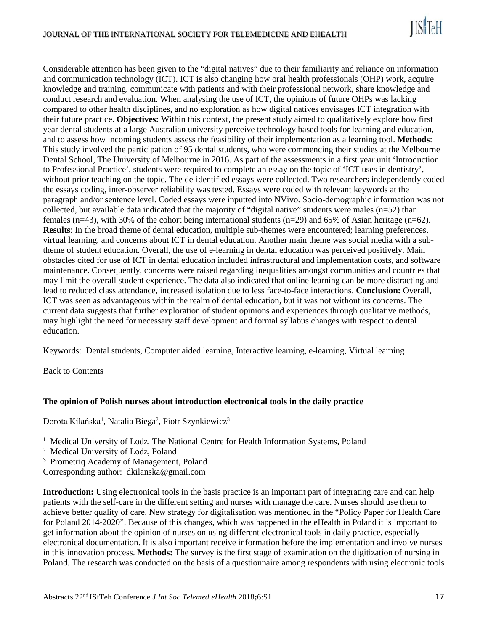

Considerable attention has been given to the "digital natives" due to their familiarity and reliance on information and communication technology (ICT). ICT is also changing how oral health professionals (OHP) work, acquire knowledge and training, communicate with patients and with their professional network, share knowledge and conduct research and evaluation. When analysing the use of ICT, the opinions of future OHPs was lacking compared to other health disciplines, and no exploration as how digital natives envisages ICT integration with their future practice. **Objectives:** Within this context, the present study aimed to qualitatively explore how first year dental students at a large Australian university perceive technology based tools for learning and education, and to assess how incoming students assess the feasibility of their implementation as a learning tool. **Methods**: This study involved the participation of 95 dental students, who were commencing their studies at the Melbourne Dental School, The University of Melbourne in 2016. As part of the assessments in a first year unit 'Introduction to Professional Practice', students were required to complete an essay on the topic of 'ICT uses in dentistry', without prior teaching on the topic. The de-identified essays were collected. Two researchers independently coded the essays coding, inter-observer reliability was tested. Essays were coded with relevant keywords at the paragraph and/or sentence level. Coded essays were inputted into NVivo. Socio-demographic information was not collected, but available data indicated that the majority of "digital native" students were males  $(n=52)$  than females (n=43), with 30% of the cohort being international students (n=29) and 65% of Asian heritage (n=62). **Results**: In the broad theme of dental education, multiple sub-themes were encountered; learning preferences, virtual learning, and concerns about ICT in dental education. Another main theme was social media with a subtheme of student education. Overall, the use of e-learning in dental education was perceived positively. Main obstacles cited for use of ICT in dental education included infrastructural and implementation costs, and software maintenance. Consequently, concerns were raised regarding inequalities amongst communities and countries that may limit the overall student experience. The data also indicated that online learning can be more distracting and lead to reduced class attendance, increased isolation due to less face-to-face interactions. **Conclusion:** Overall, ICT was seen as advantageous within the realm of dental education, but it was not without its concerns. The current data suggests that further exploration of student opinions and experiences through qualitative methods, may highlight the need for necessary staff development and formal syllabus changes with respect to dental education.

Keywords: Dental students, Computer aided learning, Interactive learning, e-learning, Virtual learning

[Back to Contents](#page-0-0)

#### <span id="page-16-0"></span>**The opinion of Polish nurses about introduction electronical tools in the daily practice**

Dorota Kilańska<sup>1</sup>, Natalia Biega<sup>2</sup>, Piotr Szynkiewicz<sup>3</sup>

- <sup>1</sup> Medical University of Lodz, The National Centre for Health Information Systems, Poland
- <sup>2</sup> Medical University of Lodz, Poland
- <sup>3</sup> Prometriq Academy of Management, Poland
- Corresponding author: dkilanska@gmail.com

**Introduction:** Using electronical tools in the basis practice is an important part of integrating care and can help patients with the self-care in the different setting and nurses with manage the care. Nurses should use them to achieve better quality of care. New strategy for digitalisation was mentioned in the "Policy Paper for Health Care for Poland 2014-2020". Because of this changes, which was happened in the eHealth in Poland it is important to get information about the opinion of nurses on using different electronical tools in daily practice, especially electronical documentation. It is also important receive information before the implementation and involve nurses in this innovation process. **Methods:** The survey is the first stage of examination on the digitization of nursing in Poland. The research was conducted on the basis of a questionnaire among respondents with using electronic tools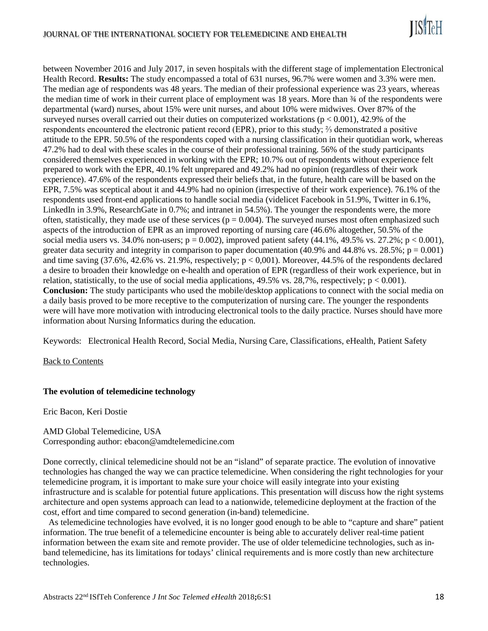

between November 2016 and July 2017, in seven hospitals with the different stage of implementation Electronical Health Record. **Results:** The study encompassed a total of 631 nurses, 96.7% were women and 3.3% were men. The median age of respondents was 48 years. The median of their professional experience was 23 years, whereas the median time of work in their current place of employment was 18 years. More than  $\frac{3}{4}$  of the respondents were departmental (ward) nurses, about 15% were unit nurses, and about 10% were midwives. Over 87% of the surveyed nurses overall carried out their duties on computerized workstations ( $p < 0.001$ ), 42.9% of the respondents encountered the electronic patient record (EPR), prior to this study; ⅔ demonstrated a positive attitude to the EPR. 50.5% of the respondents coped with a nursing classification in their quotidian work, whereas 47.2% had to deal with these scales in the course of their professional training. 56% of the study participants considered themselves experienced in working with the EPR; 10.7% out of respondents without experience felt prepared to work with the EPR, 40.1% felt unprepared and 49.2% had no opinion (regardless of their work experience). 47.6% of the respondents expressed their beliefs that, in the future, health care will be based on the EPR, 7.5% was sceptical about it and 44.9% had no opinion (irrespective of their work experience). 76.1% of the respondents used front-end applications to handle social media (videlicet Facebook in 51.9%, Twitter in 6.1%, LinkedIn in 3.9%, ResearchGate in 0.7%; and intranet in 54.5%). The younger the respondents were, the more often, statistically, they made use of these services ( $p = 0.004$ ). The surveyed nurses most often emphasized such aspects of the introduction of EPR as an improved reporting of nursing care (46.6% altogether, 50.5% of the social media users vs. 34.0% non-users;  $p = 0.002$ ), improved patient safety  $(44.1\%, 49.5\% \text{ vs. } 27.2\%; p < 0.001)$ , greater data security and integrity in comparison to paper documentation (40.9% and 44.8% vs. 28.5%;  $p = 0.001$ ) and time saving  $(37.6\%, 42.6\% \text{ vs. } 21.9\%, \text{ respectively}; p < 0.001)$ . Moreover, 44.5% of the respondents declared a desire to broaden their knowledge on e-health and operation of EPR (regardless of their work experience, but in relation, statistically, to the use of social media applications,  $49.5\%$  vs.  $28,7\%$ , respectively;  $p < 0.001$ ). **Conclusion:** The study participants who used the mobile/desktop applications to connect with the social media on a daily basis proved to be more receptive to the computerization of nursing care. The younger the respondents were will have more motivation with introducing electronical tools to the daily practice. Nurses should have more information about Nursing Informatics during the education.

Keywords: Electronical Health Record, Social Media, Nursing Care, Classifications, eHealth, Patient Safety

#### [Back to Contents](#page-0-0)

#### <span id="page-17-0"></span>**The evolution of telemedicine technology**

Eric Bacon, Keri Dostie

#### AMD Global Telemedicine, USA Corresponding author: ebacon@amdtelemedicine.com

Done correctly, clinical telemedicine should not be an "island" of separate practice. The evolution of innovative technologies has changed the way we can practice telemedicine. When considering the right technologies for your telemedicine program, it is important to make sure your choice will easily integrate into your existing infrastructure and is scalable for potential future applications. This presentation will discuss how the right systems architecture and open systems approach can lead to a nationwide, telemedicine deployment at the fraction of the cost, effort and time compared to second generation (in-band) telemedicine.

As telemedicine technologies have evolved, it is no longer good enough to be able to "capture and share" patient information. The true benefit of a telemedicine encounter is being able to accurately deliver real-time patient information between the exam site and remote provider. The use of older telemedicine technologies, such as inband telemedicine, has its limitations for todays' clinical requirements and is more costly than new architecture technologies.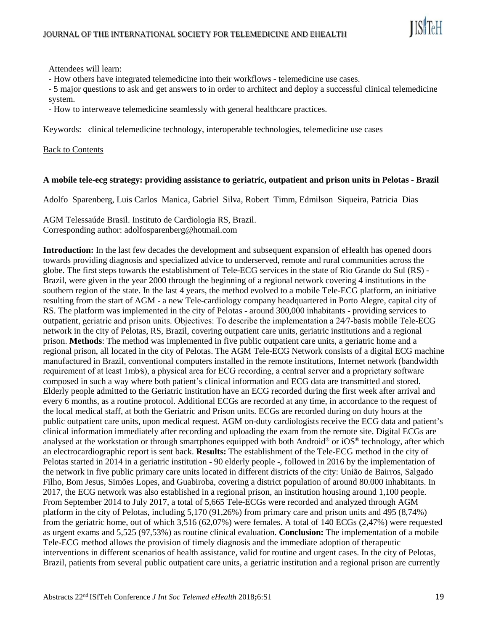

Attendees will learn:

- How others have integrated telemedicine into their workflows - telemedicine use cases.

- 5 major questions to ask and get answers to in order to architect and deploy a successful clinical telemedicine system.

- How to interweave telemedicine seamlessly with general healthcare practices.

Keywords: clinical telemedicine technology, interoperable technologies, telemedicine use cases

#### [Back to Contents](#page-0-0)

# <span id="page-18-0"></span>**A mobile tele-ecg strategy: providing assistance to geriatric, outpatient and prison units in Pelotas - Brazil**

Adolfo Sparenberg, Luis Carlos Manica, Gabriel Silva, Robert Timm, Edmilson Siqueira, Patricia Dias

AGM Telessaúde Brasil. Instituto de Cardiologia RS, Brazil. Corresponding author: adolfosparenberg@hotmail.com

**Introduction:** In the last few decades the development and subsequent expansion of eHealth has opened doors towards providing diagnosis and specialized advice to underserved, remote and rural communities across the globe. The first steps towards the establishment of Tele-ECG services in the state of Rio Grande do Sul (RS) - Brazil, were given in the year 2000 through the beginning of a regional network covering 4 institutions in the southern region of the state. In the last 4 years, the method evolved to a mobile Tele-ECG platform, an initiative resulting from the start of AGM - a new Tele-cardiology company headquartered in Porto Alegre, capital city of RS. The platform was implemented in the city of Pelotas - around 300,000 inhabitants - providing services to outpatient, geriatric and prison units. Objectives: To describe the implementation a 24∕7-basis mobile Tele-ECG network in the city of Pelotas, RS, Brazil, covering outpatient care units, geriatric institutions and a regional prison. **Methods**: The method was implemented in five public outpatient care units, a geriatric home and a regional prison, all located in the city of Pelotas. The AGM Tele-ECG Network consists of a digital ECG machine manufactured in Brazil, conventional computers installed in the remote institutions, Internet network (bandwidth requirement of at least 1mb∕s), a physical area for ECG recording, a central server and a proprietary software composed in such a way where both patient's clinical information and ECG data are transmitted and stored. Elderly people admitted to the Geriatric institution have an ECG recorded during the first week after arrival and every 6 months, as a routine protocol. Additional ECGs are recorded at any time, in accordance to the request of the local medical staff, at both the Geriatric and Prison units. ECGs are recorded during on duty hours at the public outpatient care units, upon medical request. AGM on-duty cardiologists receive the ECG data and patient's clinical information immediately after recording and uploading the exam from the remote site. Digital ECGs are analysed at the workstation or through smartphones equipped with both Android® or iOS® technology, after which an electrocardiographic report is sent back. **Results:** The establishment of the Tele-ECG method in the city of Pelotas started in 2014 in a geriatric institution - 90 elderly people -, followed in 2016 by the implementation of the network in five public primary care units located in different districts of the city: União de Bairros, Salgado Filho, Bom Jesus, Simões Lopes, and Guabiroba, covering a district population of around 80.000 inhabitants. In 2017, the ECG network was also established in a regional prison, an institution housing around 1,100 people. From September 2014 to July 2017, a total of 5,665 Tele-ECGs were recorded and analyzed through AGM platform in the city of Pelotas, including 5,170 (91,26%) from primary care and prison units and 495 (8,74%) from the geriatric home, out of which 3,516 (62,07%) were females. A total of 140 ECGs (2,47%) were requested as urgent exams and 5,525 (97,53%) as routine clinical evaluation. **Conclusion:** The implementation of a mobile Tele-ECG method allows the provision of timely diagnosis and the immediate adoption of therapeutic interventions in different scenarios of health assistance, valid for routine and urgent cases. In the city of Pelotas, Brazil, patients from several public outpatient care units, a geriatric institution and a regional prison are currently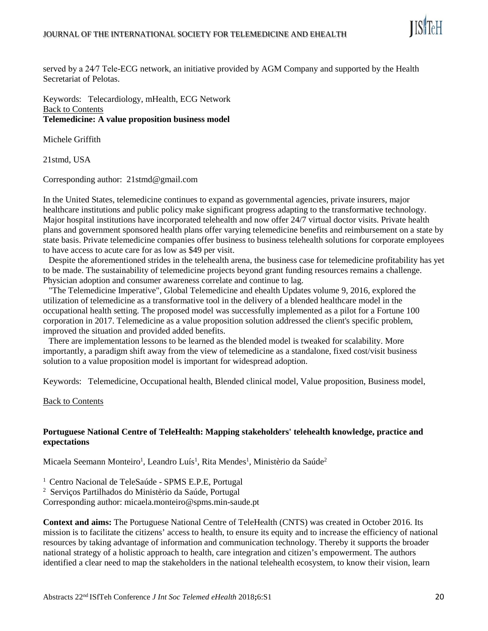

served by a 24∕7 Tele-ECG network, an initiative provided by AGM Company and supported by the Health Secretariat of Pelotas.

<span id="page-19-1"></span>Keywords: Telecardiology, mHealth, ECG Network [Back to Contents](#page-0-0) **Telemedicine: A value proposition business model**

Michele Griffith

21stmd, USA

Corresponding author: 21stmd@gmail.com

In the United States, telemedicine continues to expand as governmental agencies, private insurers, major healthcare institutions and public policy make significant progress adapting to the transformative technology. Major hospital institutions have incorporated telehealth and now offer 24/7 virtual doctor visits. Private health plans and government sponsored health plans offer varying telemedicine benefits and reimbursement on a state by state basis. Private telemedicine companies offer business to business telehealth solutions for corporate employees to have access to acute care for as low as \$49 per visit.

Despite the aforementioned strides in the telehealth arena, the business case for telemedicine profitability has yet to be made. The sustainability of telemedicine projects beyond grant funding resources remains a challenge. Physician adoption and consumer awareness correlate and continue to lag.

"The Telemedicine Imperative", Global Telemedicine and ehealth Updates volume 9, 2016, explored the utilization of telemedicine as a transformative tool in the delivery of a blended healthcare model in the occupational health setting. The proposed model was successfully implemented as a pilot for a Fortune 100 corporation in 2017. Telemedicine as a value proposition solution addressed the client's specific problem, improved the situation and provided added benefits.

There are implementation lessons to be learned as the blended model is tweaked for scalability. More importantly, a paradigm shift away from the view of telemedicine as a standalone, fixed cost/visit business solution to a value proposition model is important for widespread adoption.

Keywords: Telemedicine, Occupational health, Blended clinical model, Value proposition, Business model,

#### [Back to Contents](#page-0-0)

# <span id="page-19-0"></span>**Portuguese National Centre of TeleHealth: Mapping stakeholders' telehealth knowledge, practice and expectations**

Micaela Seemann Monteiro<sup>1</sup>, Leandro Luís<sup>1</sup>, Rita Mendes<sup>1</sup>, Ministèrio da Saúde<sup>2</sup>

1 Centro Nacional de TeleSaúde - SPMS E.P.E, Portugal

2 Serviços Partilhados do Ministèrio da Saúde, Portugal

Corresponding author: micaela.monteiro@spms.min-saude.pt

**Context and aims:** The Portuguese National Centre of TeleHealth (CNTS) was created in October 2016. Its mission is to facilitate the citizens' access to health, to ensure its equity and to increase the efficiency of national resources by taking advantage of information and communication technology. Thereby it supports the broader national strategy of a holistic approach to health, care integration and citizen's empowerment. The authors identified a clear need to map the stakeholders in the national telehealth ecosystem, to know their vision, learn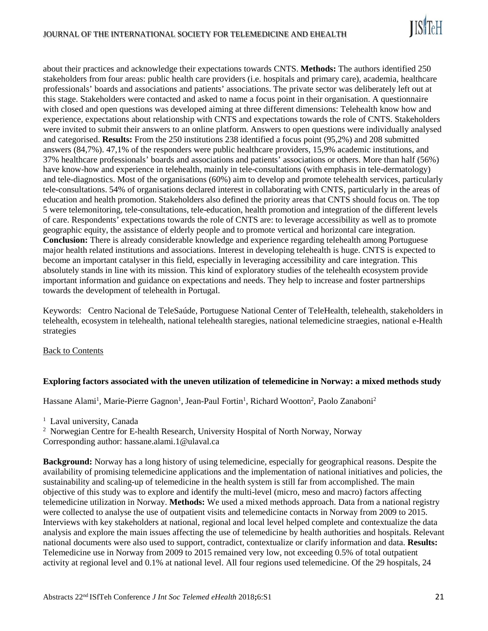

about their practices and acknowledge their expectations towards CNTS. **Methods:** The authors identified 250 stakeholders from four areas: public health care providers (i.e. hospitals and primary care), academia, healthcare professionals' boards and associations and patients' associations. The private sector was deliberately left out at this stage. Stakeholders were contacted and asked to name a focus point in their organisation. A questionnaire with closed and open questions was developed aiming at three different dimensions: Telehealth know how and experience, expectations about relationship with CNTS and expectations towards the role of CNTS. Stakeholders were invited to submit their answers to an online platform. Answers to open questions were individually analysed and categorised. **Results:** From the 250 institutions 238 identified a focus point (95,2%) and 208 submitted answers (84,7%). 47,1% of the responders were public healthcare providers, 15,9% academic institutions, and 37% healthcare professionals' boards and associations and patients' associations or others. More than half (56%) have know-how and experience in telehealth, mainly in tele-consultations (with emphasis in tele-dermatology) and tele-diagnostics. Most of the organisations (60%) aim to develop and promote telehealth services, particularly tele-consultations. 54% of organisations declared interest in collaborating with CNTS, particularly in the areas of education and health promotion. Stakeholders also defined the priority areas that CNTS should focus on. The top 5 were telemonitoring, tele-consultations, tele-education, health promotion and integration of the different levels of care. Respondents' expectations towards the role of CNTS are: to leverage accessibility as well as to promote geographic equity, the assistance of elderly people and to promote vertical and horizontal care integration. **Conclusion:** There is already considerable knowledge and experience regarding telehealth among Portuguese major health related institutions and associations. Interest in developing telehealth is huge. CNTS is expected to become an important catalyser in this field, especially in leveraging accessibility and care integration. This absolutely stands in line with its mission. This kind of exploratory studies of the telehealth ecosystem provide important information and guidance on expectations and needs. They help to increase and foster partnerships towards the development of telehealth in Portugal.

Keywords: Centro Nacional de TeleSaúde, Portuguese National Center of TeleHealth, telehealth, stakeholders in telehealth, ecosystem in telehealth, national telehealth staregies, national telemedicine straegies, national e-Health strategies

#### [Back to Contents](#page-0-0)

#### <span id="page-20-0"></span>**Exploring factors associated with the uneven utilization of telemedicine in Norway: a mixed methods study**

Hassane Alami<sup>1</sup>, Marie-Pierre Gagnon<sup>1</sup>, Jean-Paul Fortin<sup>1</sup>, Richard Wootton<sup>2</sup>, Paolo Zanaboni<sup>2</sup>

<sup>1</sup> Laval university, Canada

<sup>2</sup> Norwegian Centre for E-health Research, University Hospital of North Norway, Norway Corresponding author: hassane.alami.1@ulaval.ca

**Background:** Norway has a long history of using telemedicine, especially for geographical reasons. Despite the availability of promising telemedicine applications and the implementation of national initiatives and policies, the sustainability and scaling-up of telemedicine in the health system is still far from accomplished. The main objective of this study was to explore and identify the multi-level (micro, meso and macro) factors affecting telemedicine utilization in Norway. **Methods:** We used a mixed methods approach. Data from a national registry were collected to analyse the use of outpatient visits and telemedicine contacts in Norway from 2009 to 2015. Interviews with key stakeholders at national, regional and local level helped complete and contextualize the data analysis and explore the main issues affecting the use of telemedicine by health authorities and hospitals. Relevant national documents were also used to support, contradict, contextualize or clarify information and data. **Results:** Telemedicine use in Norway from 2009 to 2015 remained very low, not exceeding 0.5% of total outpatient activity at regional level and 0.1% at national level. All four regions used telemedicine. Of the 29 hospitals, 24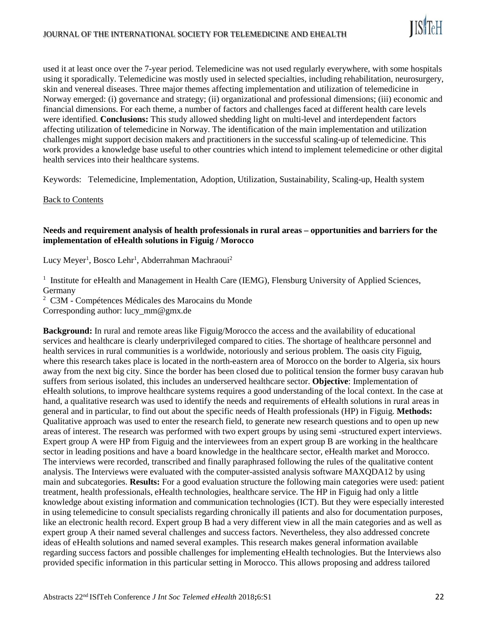

used it at least once over the 7-year period. Telemedicine was not used regularly everywhere, with some hospitals using it sporadically. Telemedicine was mostly used in selected specialties, including rehabilitation, neurosurgery, skin and venereal diseases. Three major themes affecting implementation and utilization of telemedicine in Norway emerged: (i) governance and strategy; (ii) organizational and professional dimensions; (iii) economic and financial dimensions. For each theme, a number of factors and challenges faced at different health care levels were identified. **Conclusions:** This study allowed shedding light on multi-level and interdependent factors affecting utilization of telemedicine in Norway. The identification of the main implementation and utilization challenges might support decision makers and practitioners in the successful scaling-up of telemedicine. This work provides a knowledge base useful to other countries which intend to implement telemedicine or other digital health services into their healthcare systems.

Keywords: Telemedicine, Implementation, Adoption, Utilization, Sustainability, Scaling-up, Health system

**[Back to Contents](#page-0-0)** 

### <span id="page-21-0"></span>**Needs and requirement analysis of health professionals in rural areas – opportunities and barriers for the implementation of eHealth solutions in Figuig / Morocco**

Lucy Meyer<sup>1</sup>, Bosco Lehr<sup>1</sup>, Abderrahman Machraoui<sup>2</sup>

<sup>1</sup> Institute for eHealth and Management in Health Care (IEMG), Flensburg University of Applied Sciences, Germany

2 C3M - Compétences Médicales des Marocains du Monde

Corresponding author: lucy\_mm@gmx.de

**Background:** In rural and remote areas like Figuig/Morocco the access and the availability of educational services and healthcare is clearly underprivileged compared to cities. The shortage of healthcare personnel and health services in rural communities is a worldwide, notoriously and serious problem. The oasis city Figuig, where this research takes place is located in the north-eastern area of Morocco on the border to Algeria, six hours away from the next big city. Since the border has been closed due to political tension the former busy caravan hub suffers from serious isolated, this includes an underserved healthcare sector. **Objective**: Implementation of eHealth solutions, to improve healthcare systems requires a good understanding of the local context. In the case at hand, a qualitative research was used to identify the needs and requirements of eHealth solutions in rural areas in general and in particular, to find out about the specific needs of Health professionals (HP) in Figuig. **Methods:** Qualitative approach was used to enter the research field, to generate new research questions and to open up new areas of interest. The research was performed with two expert groups by using semi -structured expert interviews. Expert group A were HP from Figuig and the interviewees from an expert group B are working in the healthcare sector in leading positions and have a board knowledge in the healthcare sector, eHealth market and Morocco. The interviews were recorded, transcribed and finally paraphrased following the rules of the qualitative content analysis. The Interviews were evaluated with the computer-assisted analysis software MAXQDA12 by using main and subcategories. **Results:** For a good evaluation structure the following main categories were used: patient treatment, health professionals, eHealth technologies, healthcare service. The HP in Figuig had only a little knowledge about existing information and communication technologies (ICT). But they were especially interested in using telemedicine to consult specialists regarding chronically ill patients and also for documentation purposes, like an electronic health record. Expert group B had a very different view in all the main categories and as well as expert group A their named several challenges and success factors. Nevertheless, they also addressed concrete ideas of eHealth solutions and named several examples. This research makes general information available regarding success factors and possible challenges for implementing eHealth technologies. But the Interviews also provided specific information in this particular setting in Morocco. This allows proposing and address tailored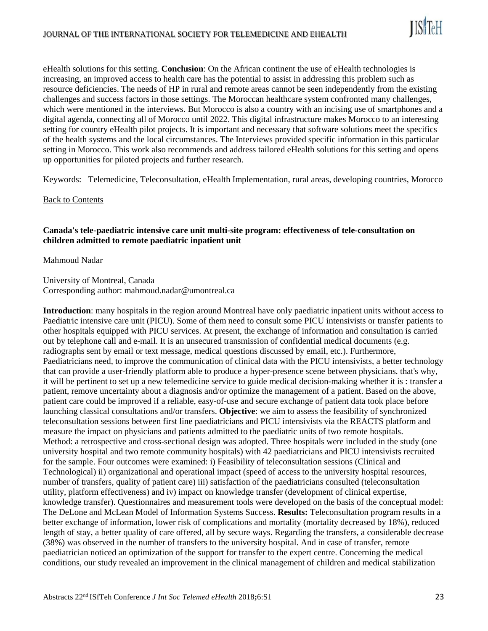

eHealth solutions for this setting. **Conclusion**: On the African continent the use of eHealth technologies is increasing, an improved access to health care has the potential to assist in addressing this problem such as resource deficiencies. The needs of HP in rural and remote areas cannot be seen independently from the existing challenges and success factors in those settings. The Moroccan healthcare system confronted many challenges, which were mentioned in the interviews. But Morocco is also a country with an incising use of smartphones and a digital agenda, connecting all of Morocco until 2022. This digital infrastructure makes Morocco to an interesting setting for country eHealth pilot projects. It is important and necessary that software solutions meet the specifics of the health systems and the local circumstances. The Interviews provided specific information in this particular setting in Morocco. This work also recommends and address tailored eHealth solutions for this setting and opens up opportunities for piloted projects and further research.

Keywords: Telemedicine, Teleconsultation, eHealth Implementation, rural areas, developing countries, Morocco

# **[Back to Contents](#page-0-0)**

# **Canada's tele-paediatric intensive care unit multi-site program: effectiveness of tele-consultation on children admitted to remote paediatric inpatient unit**

Mahmoud Nadar

University of Montreal, Canada Corresponding author: mahmoud.nadar@umontreal.ca

**Introduction**: many hospitals in the region around Montreal have only paediatric inpatient units without access to Paediatric intensive care unit (PICU). Some of them need to consult some PICU intensivists or transfer patients to other hospitals equipped with PICU services. At present, the exchange of information and consultation is carried out by telephone call and e-mail. It is an unsecured transmission of confidential medical documents (e.g. radiographs sent by email or text message, medical questions discussed by email, etc.). Furthermore, Paediatricians need, to improve the communication of clinical data with the PICU intensivists, a better technology that can provide a user-friendly platform able to produce a hyper-presence scene between physicians. that's why, it will be pertinent to set up a new telemedicine service to guide medical decision-making whether it is : transfer a patient, remove uncertainty about a diagnosis and/or optimize the management of a patient. Based on the above, patient care could be improved if a reliable, easy-of-use and secure exchange of patient data took place before launching classical consultations and/or transfers. **Objective**: we aim to assess the feasibility of synchronized teleconsultation sessions between first line paediatricians and PICU intensivists via the REACTS platform and measure the impact on physicians and patients admitted to the paediatric units of two remote hospitals. Method: a retrospective and cross-sectional design was adopted. Three hospitals were included in the study (one university hospital and two remote community hospitals) with 42 paediatricians and PICU intensivists recruited for the sample. Four outcomes were examined: i) Feasibility of teleconsultation sessions (Clinical and Technological) ii) organizational and operational impact (speed of access to the university hospital resources, number of transfers, quality of patient care) iii) satisfaction of the paediatricians consulted (teleconsultation utility, platform effectiveness) and iv) impact on knowledge transfer (development of clinical expertise, knowledge transfer). Questionnaires and measurement tools were developed on the basis of the conceptual model: The DeLone and McLean Model of Information Systems Success. **Results:** Teleconsultation program results in a better exchange of information, lower risk of complications and mortality (mortality decreased by 18%), reduced length of stay, a better quality of care offered, all by secure ways. Regarding the transfers, a considerable decrease (38%) was observed in the number of transfers to the university hospital. And in case of transfer, remote paediatrician noticed an optimization of the support for transfer to the expert centre. Concerning the medical conditions, our study revealed an improvement in the clinical management of children and medical stabilization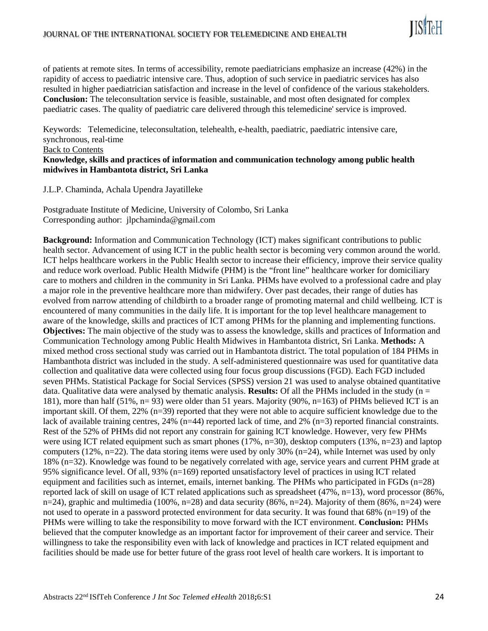

of patients at remote sites. In terms of accessibility, remote paediatricians emphasize an increase (42%) in the rapidity of access to paediatric intensive care. Thus, adoption of such service in paediatric services has also resulted in higher paediatrician satisfaction and increase in the level of confidence of the various stakeholders. **Conclusion:** The teleconsultation service is feasible, sustainable, and most often designated for complex paediatric cases. The quality of paediatric care delivered through this telemedicine' service is improved.

Keywords: Telemedicine, teleconsultation, telehealth, e-health, paediatric, paediatric intensive care, synchronous, real-time

#### [Back to Contents](#page-0-0)

#### <span id="page-23-0"></span>**Knowledge, skills and practices of information and communication technology among public health midwives in Hambantota district, Sri Lanka**

J.L.P. Chaminda, Achala Upendra Jayatilleke

Postgraduate Institute of Medicine, University of Colombo, Sri Lanka Corresponding author: jlpchaminda@gmail.com

**Background:** Information and Communication Technology (ICT) makes significant contributions to public health sector. Advancement of using ICT in the public health sector is becoming very common around the world. ICT helps healthcare workers in the Public Health sector to increase their efficiency, improve their service quality and reduce work overload. Public Health Midwife (PHM) is the "front line" healthcare worker for domiciliary care to mothers and children in the community in Sri Lanka. PHMs have evolved to a professional cadre and play a major role in the preventive healthcare more than midwifery. Over past decades, their range of duties has evolved from narrow attending of childbirth to a broader range of promoting maternal and child wellbeing. ICT is encountered of many communities in the daily life. It is important for the top level healthcare management to aware of the knowledge, skills and practices of ICT among PHMs for the planning and implementing functions. **Objectives:** The main objective of the study was to assess the knowledge, skills and practices of Information and Communication Technology among Public Health Midwives in Hambantota district, Sri Lanka. **Methods:** A mixed method cross sectional study was carried out in Hambantota district. The total population of 184 PHMs in Hambanthota district was included in the study. A self-administered questionnaire was used for quantitative data collection and qualitative data were collected using four focus group discussions (FGD). Each FGD included seven PHMs. Statistical Package for Social Services (SPSS) version 21 was used to analyse obtained quantitative data. Qualitative data were analysed by thematic analysis. **Results:** Of all the PHMs included in the study (n = 181), more than half (51%, n= 93) were older than 51 years. Majority (90%, n=163) of PHMs believed ICT is an important skill. Of them, 22% (n=39) reported that they were not able to acquire sufficient knowledge due to the lack of available training centres, 24% (n=44) reported lack of time, and 2% (n=3) reported financial constraints. Rest of the 52% of PHMs did not report any constrain for gaining ICT knowledge. However, very few PHMs were using ICT related equipment such as smart phones (17%, n=30), desktop computers (13%, n=23) and laptop computers (12%, n=22). The data storing items were used by only 30% (n=24), while Internet was used by only 18% (n=32). Knowledge was found to be negatively correlated with age, service years and current PHM grade at 95% significance level. Of all, 93% (n=169) reported unsatisfactory level of practices in using ICT related equipment and facilities such as internet, emails, internet banking. The PHMs who participated in FGDs (n=28) reported lack of skill on usage of ICT related applications such as spreadsheet (47%, n=13), word processor (86%, n=24), graphic and multimedia (100%, n=28) and data security (86%, n=24). Majority of them (86%, n=24) were not used to operate in a password protected environment for data security. It was found that 68% (n=19) of the PHMs were willing to take the responsibility to move forward with the ICT environment. **Conclusion:** PHMs believed that the computer knowledge as an important factor for improvement of their career and service. Their willingness to take the responsibility even with lack of knowledge and practices in ICT related equipment and facilities should be made use for better future of the grass root level of health care workers. It is important to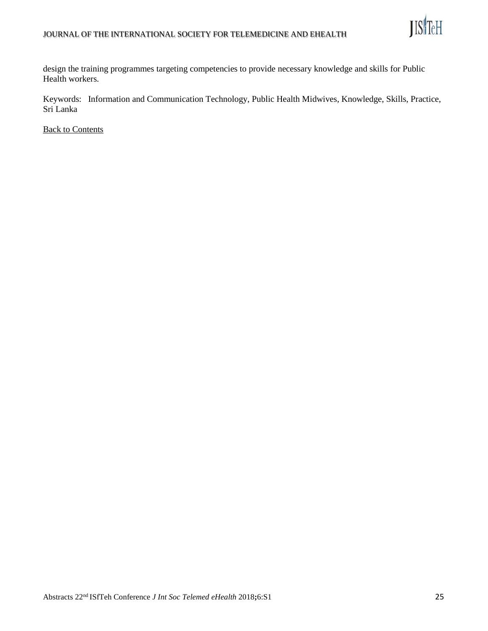

design the training programmes targeting competencies to provide necessary knowledge and skills for Public Health workers.

Keywords: Information and Communication Technology, Public Health Midwives, Knowledge, Skills, Practice, Sri Lanka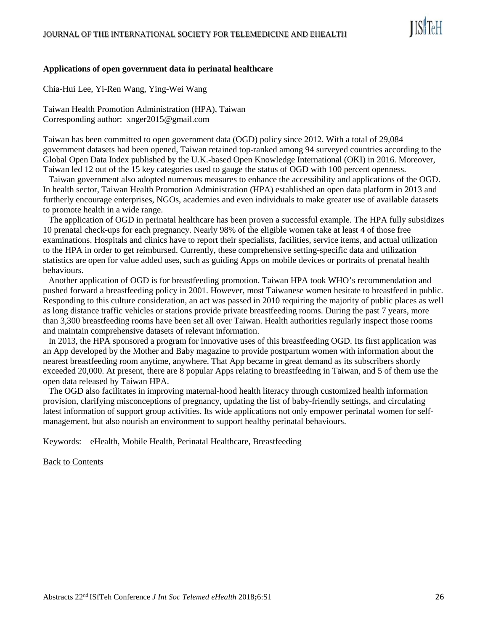

#### <span id="page-25-0"></span>**Applications of open government data in perinatal healthcare**

Chia-Hui Lee, Yi-Ren Wang, Ying-Wei Wang

Taiwan Health Promotion Administration (HPA), Taiwan Corresponding author: xnger2015@gmail.com

Taiwan has been committed to open government data (OGD) policy since 2012. With a total of 29,084 government datasets had been opened, Taiwan retained top-ranked among 94 surveyed countries according to the Global Open Data Index published by the U.K.-based Open Knowledge International (OKI) in 2016. Moreover, Taiwan led 12 out of the 15 key categories used to gauge the status of OGD with 100 percent openness.

Taiwan government also adopted numerous measures to enhance the accessibility and applications of the OGD. In health sector, Taiwan Health Promotion Administration (HPA) established an open data platform in 2013 and furtherly encourage enterprises, NGOs, academies and even individuals to make greater use of available datasets to promote health in a wide range.

The application of OGD in perinatal healthcare has been proven a successful example. The HPA fully subsidizes 10 prenatal check-ups for each pregnancy. Nearly 98% of the eligible women take at least 4 of those free examinations. Hospitals and clinics have to report their specialists, facilities, service items, and actual utilization to the HPA in order to get reimbursed. Currently, these comprehensive setting-specific data and utilization statistics are open for value added uses, such as guiding Apps on mobile devices or portraits of prenatal health behaviours.

Another application of OGD is for breastfeeding promotion. Taiwan HPA took WHO's recommendation and pushed forward a breastfeeding policy in 2001. However, most Taiwanese women hesitate to breastfeed in public. Responding to this culture consideration, an act was passed in 2010 requiring the majority of public places as well as long distance traffic vehicles or stations provide private breastfeeding rooms. During the past 7 years, more than 3,300 breastfeeding rooms have been set all over Taiwan. Health authorities regularly inspect those rooms and maintain comprehensive datasets of relevant information.

In 2013, the HPA sponsored a program for innovative uses of this breastfeeding OGD. Its first application was an App developed by the Mother and Baby magazine to provide postpartum women with information about the nearest breastfeeding room anytime, anywhere. That App became in great demand as its subscribers shortly exceeded 20,000. At present, there are 8 popular Apps relating to breastfeeding in Taiwan, and 5 of them use the open data released by Taiwan HPA.

The OGD also facilitates in improving maternal-hood health literacy through customized health information provision, clarifying misconceptions of pregnancy, updating the list of baby-friendly settings, and circulating latest information of support group activities. Its wide applications not only empower perinatal women for selfmanagement, but also nourish an environment to support healthy perinatal behaviours.

Keywords: eHealth, Mobile Health, Perinatal Healthcare, Breastfeeding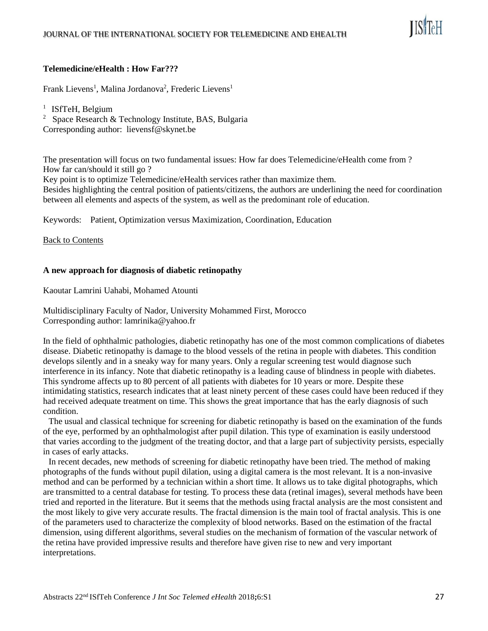

#### <span id="page-26-1"></span>**Telemedicine/eHealth : How Far???**

Frank Lievens<sup>1</sup>, Malina Jordanova<sup>2</sup>, Frederic Lievens<sup>1</sup>

<sup>2</sup> Space Research & Technology Institute, BAS, Bulgaria

Corresponding author: lievensf@skynet.be

The presentation will focus on two fundamental issues: How far does Telemedicine/eHealth come from ? How far can/should it still go ?

Key point is to optimize Telemedicine/eHealth services rather than maximize them.

Besides highlighting the central position of patients/citizens, the authors are underlining the need for coordination between all elements and aspects of the system, as well as the predominant role of education.

Keywords: Patient, Optimization versus Maximization, Coordination, Education

#### [Back to Contents](#page-0-0)

#### <span id="page-26-0"></span>**A new approach for diagnosis of diabetic retinopathy**

Kaoutar Lamrini Uahabi, Mohamed Atounti

Multidisciplinary Faculty of Nador, University Mohammed First, Morocco Corresponding author: lamrinika@yahoo.fr

In the field of ophthalmic pathologies, diabetic retinopathy has one of the most common complications of diabetes disease. Diabetic retinopathy is damage to the blood vessels of the retina in people with diabetes. This condition develops silently and in a sneaky way for many years. Only a regular screening test would diagnose such interference in its infancy. Note that diabetic retinopathy is a leading cause of blindness in people with diabetes. This syndrome affects up to 80 percent of all patients with diabetes for 10 years or more. Despite these intimidating statistics, research indicates that at least ninety percent of these cases could have been reduced if they had received adequate treatment on time. This shows the great importance that has the early diagnosis of such condition.

The usual and classical technique for screening for diabetic retinopathy is based on the examination of the funds of the eye, performed by an ophthalmologist after pupil dilation. This type of examination is easily understood that varies according to the judgment of the treating doctor, and that a large part of subjectivity persists, especially in cases of early attacks.

In recent decades, new methods of screening for diabetic retinopathy have been tried. The method of making photographs of the funds without pupil dilation, using a digital camera is the most relevant. It is a non-invasive method and can be performed by a technician within a short time. It allows us to take digital photographs, which are transmitted to a central database for testing. To process these data (retinal images), several methods have been tried and reported in the literature. But it seems that the methods using fractal analysis are the most consistent and the most likely to give very accurate results. The fractal dimension is the main tool of fractal analysis. This is one of the parameters used to characterize the complexity of blood networks. Based on the estimation of the fractal dimension, using different algorithms, several studies on the mechanism of formation of the vascular network of the retina have provided impressive results and therefore have given rise to new and very important interpretations.

<sup>&</sup>lt;sup>1</sup> ISfTeH, Belgium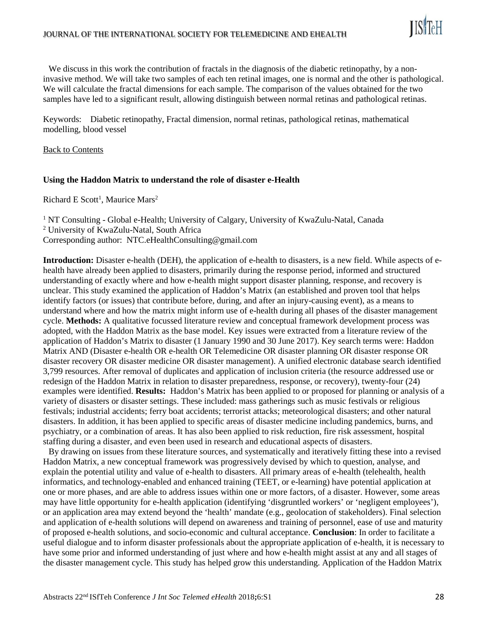

We discuss in this work the contribution of fractals in the diagnosis of the diabetic retinopathy, by a noninvasive method. We will take two samples of each ten retinal images, one is normal and the other is pathological. We will calculate the fractal dimensions for each sample. The comparison of the values obtained for the two samples have led to a significant result, allowing distinguish between normal retinas and pathological retinas.

Keywords: Diabetic retinopathy, Fractal dimension, normal retinas, pathological retinas, mathematical modelling, blood vessel

#### [Back to Contents](#page-0-0)

#### <span id="page-27-0"></span>**Using the Haddon Matrix to understand the role of disaster e-Health**

Richard E Scott<sup>1</sup>, Maurice Mars<sup>2</sup>

<sup>1</sup> NT Consulting - Global e-Health; University of Calgary, University of KwaZulu-Natal, Canada

<sup>2</sup> University of KwaZulu-Natal, South Africa

Corresponding author: NTC.eHealthConsulting@gmail.com

**Introduction:** Disaster e-health (DEH), the application of e-health to disasters, is a new field. While aspects of ehealth have already been applied to disasters, primarily during the response period, informed and structured understanding of exactly where and how e-health might support disaster planning, response, and recovery is unclear. This study examined the application of Haddon's Matrix (an established and proven tool that helps identify factors (or issues) that contribute before, during, and after an injury-causing event), as a means to understand where and how the matrix might inform use of e-health during all phases of the disaster management cycle. **Methods:** A qualitative focussed literature review and conceptual framework development process was adopted, with the Haddon Matrix as the base model. Key issues were extracted from a literature review of the application of Haddon's Matrix to disaster (1 January 1990 and 30 June 2017). Key search terms were: Haddon Matrix AND (Disaster e-health OR e-health OR Telemedicine OR disaster planning OR disaster response OR disaster recovery OR disaster medicine OR disaster management). A unified electronic database search identified 3,799 resources. After removal of duplicates and application of inclusion criteria (the resource addressed use or redesign of the Haddon Matrix in relation to disaster preparedness, response, or recovery), twenty-four (24) examples were identified. **Results:** Haddon's Matrix has been applied to or proposed for planning or analysis of a variety of disasters or disaster settings. These included: mass gatherings such as music festivals or religious festivals; industrial accidents; ferry boat accidents; terrorist attacks; meteorological disasters; and other natural disasters. In addition, it has been applied to specific areas of disaster medicine including pandemics, burns, and psychiatry, or a combination of areas. It has also been applied to risk reduction, fire risk assessment, hospital staffing during a disaster, and even been used in research and educational aspects of disasters.

By drawing on issues from these literature sources, and systematically and iteratively fitting these into a revised Haddon Matrix, a new conceptual framework was progressively devised by which to question, analyse, and explain the potential utility and value of e-health to disasters. All primary areas of e-health (telehealth, health informatics, and technology-enabled and enhanced training (TEET, or e-learning) have potential application at one or more phases, and are able to address issues within one or more factors, of a disaster. However, some areas may have little opportunity for e-health application (identifying 'disgruntled workers' or 'negligent employees'), or an application area may extend beyond the 'health' mandate (e.g., geolocation of stakeholders). Final selection and application of e-health solutions will depend on awareness and training of personnel, ease of use and maturity of proposed e-health solutions, and socio-economic and cultural acceptance. **Conclusion**: In order to facilitate a useful dialogue and to inform disaster professionals about the appropriate application of e-health, it is necessary to have some prior and informed understanding of just where and how e-health might assist at any and all stages of the disaster management cycle. This study has helped grow this understanding. Application of the Haddon Matrix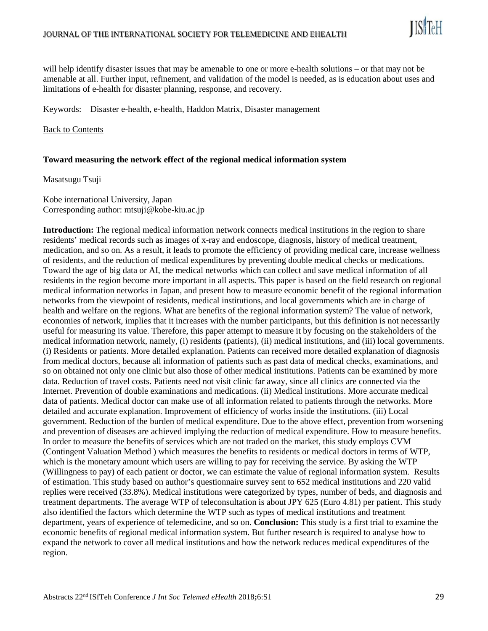

will help identify disaster issues that may be amenable to one or more e-health solutions – or that may not be amenable at all. Further input, refinement, and validation of the model is needed, as is education about uses and limitations of e-health for disaster planning, response, and recovery.

Keywords: Disaster e-health, e-health, Haddon Matrix, Disaster management

#### [Back to Contents](#page-0-0)

#### <span id="page-28-0"></span>**Toward measuring the network effect of the regional medical information system**

Masatsugu Tsuji

Kobe international University, Japan Corresponding author: mtsuji@kobe-kiu.ac.jp

**Introduction:** The regional medical information network connects medical institutions in the region to share residents' medical records such as images of x-ray and endoscope, diagnosis, history of medical treatment, medication, and so on. As a result, it leads to promote the efficiency of providing medical care, increase wellness of residents, and the reduction of medical expenditures by preventing double medical checks or medications. Toward the age of big data or AI, the medical networks which can collect and save medical information of all residents in the region become more important in all aspects. This paper is based on the field research on regional medical information networks in Japan, and present how to measure economic benefit of the regional information networks from the viewpoint of residents, medical institutions, and local governments which are in charge of health and welfare on the regions. What are benefits of the regional information system? The value of network, economies of network, implies that it increases with the number participants, but this definition is not necessarily useful for measuring its value. Therefore, this paper attempt to measure it by focusing on the stakeholders of the medical information network, namely, (i) residents (patients), (ii) medical institutions, and (iii) local governments. (i) Residents or patients. More detailed explanation. Patients can received more detailed explanation of diagnosis from medical doctors, because all information of patients such as past data of medical checks, examinations, and so on obtained not only one clinic but also those of other medical institutions. Patients can be examined by more data. Reduction of travel costs. Patients need not visit clinic far away, since all clinics are connected via the Internet. Prevention of double examinations and medications. (ii) Medical institutions. More accurate medical data of patients. Medical doctor can make use of all information related to patients through the networks. More detailed and accurate explanation. Improvement of efficiency of works inside the institutions. (iii) Local government. Reduction of the burden of medical expenditure. Due to the above effect, prevention from worsening and prevention of diseases are achieved implying the reduction of medical expenditure. How to measure benefits. In order to measure the benefits of services which are not traded on the market, this study employs CVM (Contingent Valuation Method ) which measures the benefits to residents or medical doctors in terms of WTP, which is the monetary amount which users are willing to pay for receiving the service. By asking the WTP (Willingness to pay) of each patient or doctor, we can estimate the value of regional information system. Results of estimation. This study based on author's questionnaire survey sent to 652 medical institutions and 220 valid replies were received (33.8%). Medical institutions were categorized by types, number of beds, and diagnosis and treatment departments. The average WTP of teleconsultation is about JPY 625 (Euro 4.81) per patient. This study also identified the factors which determine the WTP such as types of medical institutions and treatment department, years of experience of telemedicine, and so on. **Conclusion:** This study is a first trial to examine the economic benefits of regional medical information system. But further research is required to analyse how to expand the network to cover all medical institutions and how the network reduces medical expenditures of the region.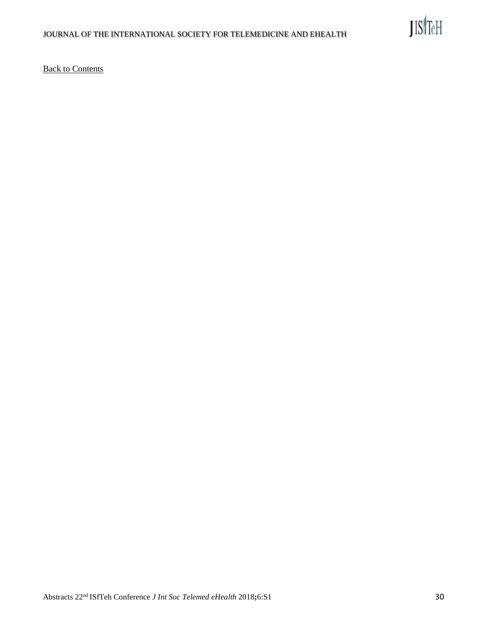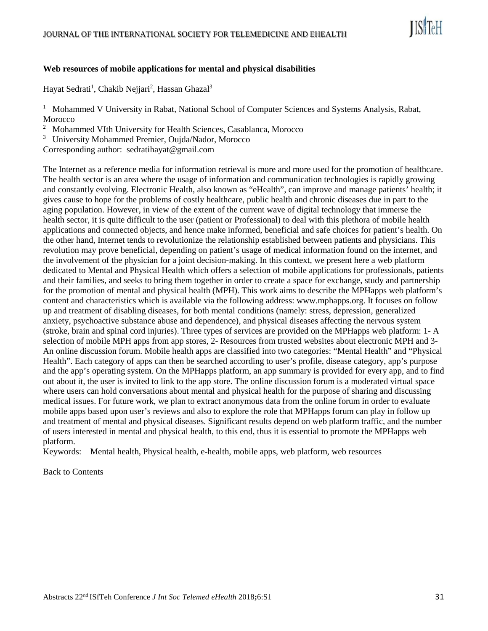#### <span id="page-30-0"></span>**Web resources of mobile applications for mental and physical disabilities**

Hayat Sedrati<sup>1</sup>, Chakib Nejjari<sup>2</sup>, Hassan Ghazal<sup>3</sup>

<sup>1</sup> Mohammed V University in Rabat, National School of Computer Sciences and Systems Analysis, Rabat, Morocco

2 Mohammed VIth University for Health Sciences, Casablanca, Morocco

3 University Mohammed Premier, Oujda/Nador, Morocco

Corresponding author: sedratihayat@gmail.com

The Internet as a reference media for information retrieval is more and more used for the promotion of healthcare. The health sector is an area where the usage of information and communication technologies is rapidly growing and constantly evolving. Electronic Health, also known as "eHealth", can improve and manage patients' health; it gives cause to hope for the problems of costly healthcare, public health and chronic diseases due in part to the aging population. However, in view of the extent of the current wave of digital technology that immerse the health sector, it is quite difficult to the user (patient or Professional) to deal with this plethora of mobile health applications and connected objects, and hence make informed, beneficial and safe choices for patient's health. On the other hand, Internet tends to revolutionize the relationship established between patients and physicians. This revolution may prove beneficial, depending on patient's usage of medical information found on the internet, and the involvement of the physician for a joint decision-making. In this context, we present here a web platform dedicated to Mental and Physical Health which offers a selection of mobile applications for professionals, patients and their families, and seeks to bring them together in order to create a space for exchange, study and partnership for the promotion of mental and physical health (MPH). This work aims to describe the MPHapps web platform's content and characteristics which is available via the following address: www.mphapps.org. It focuses on follow up and treatment of disabling diseases, for both mental conditions (namely: stress, depression, generalized anxiety, psychoactive substance abuse and dependence), and physical diseases affecting the nervous system (stroke, brain and spinal cord injuries). Three types of services are provided on the MPHapps web platform: 1- A selection of mobile MPH apps from app stores, 2- Resources from trusted websites about electronic MPH and 3- An online discussion forum. Mobile health apps are classified into two categories: "Mental Health" and "Physical Health". Each category of apps can then be searched according to user's profile, disease category, app's purpose and the app's operating system. On the MPHapps platform, an app summary is provided for every app, and to find out about it, the user is invited to link to the app store. The online discussion forum is a moderated virtual space where users can hold conversations about mental and physical health for the purpose of sharing and discussing medical issues. For future work, we plan to extract anonymous data from the online forum in order to evaluate mobile apps based upon user's reviews and also to explore the role that MPHapps forum can play in follow up and treatment of mental and physical diseases. Significant results depend on web platform traffic, and the number of users interested in mental and physical health, to this end, thus it is essential to promote the MPHapps web platform.

Keywords: Mental health, Physical health, e-health, mobile apps, web platform, web resources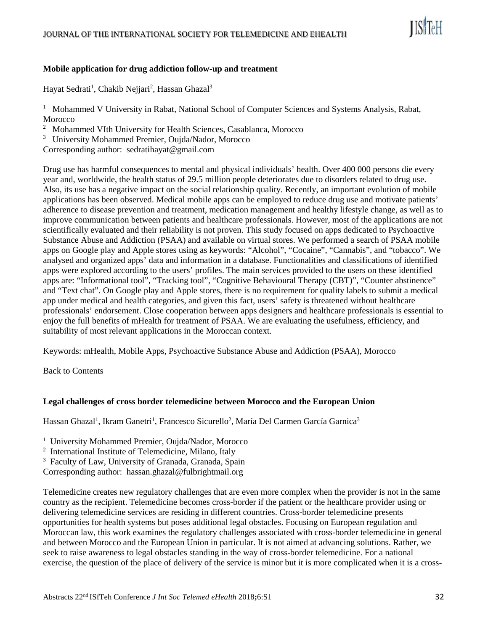

#### <span id="page-31-1"></span>**Mobile application for drug addiction follow-up and treatment**

Hayat Sedrati<sup>1</sup>, Chakib Nejjari<sup>2</sup>, Hassan Ghazal<sup>3</sup>

<sup>1</sup> Mohammed V University in Rabat, National School of Computer Sciences and Systems Analysis, Rabat, Morocco

<sup>2</sup> Mohammed VIth University for Health Sciences, Casablanca, Morocco

<sup>3</sup> University Mohammed Premier, Oujda/Nador, Morocco

Corresponding author: sedratihayat@gmail.com

Drug use has harmful consequences to mental and physical individuals' health. Over 400 000 persons die every year and, worldwide, the health status of 29.5 million people deteriorates due to disorders related to drug use. Also, its use has a negative impact on the social relationship quality. Recently, an important evolution of mobile applications has been observed. Medical mobile apps can be employed to reduce drug use and motivate patients' adherence to disease prevention and treatment, medication management and healthy lifestyle change, as well as to improve communication between patients and healthcare professionals. However, most of the applications are not scientifically evaluated and their reliability is not proven. This study focused on apps dedicated to Psychoactive Substance Abuse and Addiction (PSAA) and available on virtual stores. We performed a search of PSAA mobile apps on Google play and Apple stores using as keywords: "Alcohol", "Cocaine", "Cannabis", and "tobacco". We analysed and organized apps' data and information in a database. Functionalities and classifications of identified apps were explored according to the users' profiles. The main services provided to the users on these identified apps are: "Informational tool", "Tracking tool", "Cognitive Behavioural Therapy (CBT)", "Counter abstinence" and "Text chat". On Google play and Apple stores, there is no requirement for quality labels to submit a medical app under medical and health categories, and given this fact, users' safety is threatened without healthcare professionals' endorsement. Close cooperation between apps designers and healthcare professionals is essential to enjoy the full benefits of mHealth for treatment of PSAA. We are evaluating the usefulness, efficiency, and suitability of most relevant applications in the Moroccan context.

Keywords: mHealth, Mobile Apps, Psychoactive Substance Abuse and Addiction (PSAA), Morocco

#### [Back to Contents](#page-0-0)

#### <span id="page-31-0"></span>**Legal challenges of cross border telemedicine between Morocco and the European Union**

Hassan Ghazal<sup>1</sup>, Ikram Ganetri<sup>1</sup>, Francesco Sicurello<sup>2</sup>, María Del Carmen García Garnica<sup>3</sup>

<sup>1</sup> University Mohammed Premier, Oujda/Nador, Morocco

<sup>2</sup> International Institute of Telemedicine, Milano, Italy

<sup>3</sup> Faculty of Law, University of Granada, Granada, Spain

Corresponding author: hassan.ghazal@fulbrightmail.org

Telemedicine creates new regulatory challenges that are even more complex when the provider is not in the same country as the recipient. Telemedicine becomes cross-border if the patient or the healthcare provider using or delivering telemedicine services are residing in different countries. Cross-border telemedicine presents opportunities for health systems but poses additional legal obstacles. Focusing on European regulation and Moroccan law, this work examines the regulatory challenges associated with cross-border telemedicine in general and between Morocco and the European Union in particular. It is not aimed at advancing solutions. Rather, we seek to raise awareness to legal obstacles standing in the way of cross-border telemedicine. For a national exercise, the question of the place of delivery of the service is minor but it is more complicated when it is a cross-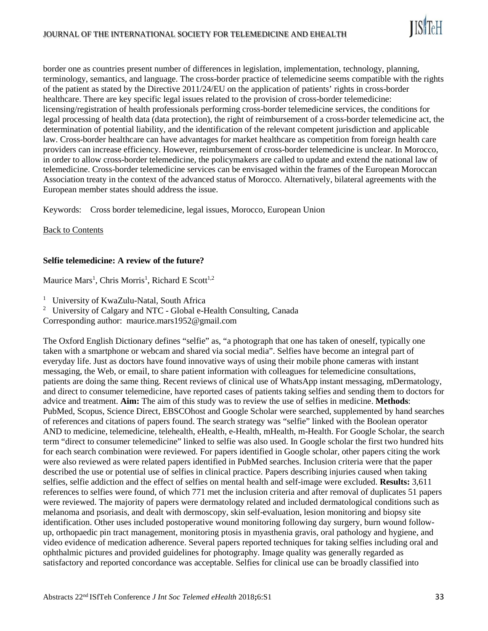

border one as countries present number of differences in legislation, implementation, technology, planning, terminology, semantics, and language. The cross-border practice of telemedicine seems compatible with the rights of the patient as stated by the Directive 2011/24/EU on the application of patients' rights in cross-border healthcare. There are key specific legal issues related to the provision of cross-border telemedicine: licensing/registration of health professionals performing cross-border telemedicine services, the conditions for legal processing of health data (data protection), the right of reimbursement of a cross-border telemedicine act, the determination of potential liability, and the identification of the relevant competent jurisdiction and applicable law. Cross-border healthcare can have advantages for market healthcare as competition from foreign health care providers can increase efficiency. However, reimbursement of cross-border telemedicine is unclear. In Morocco, in order to allow cross-border telemedicine, the policymakers are called to update and extend the national law of telemedicine. Cross-border telemedicine services can be envisaged within the frames of the European Moroccan Association treaty in the context of the advanced status of Morocco. Alternatively, bilateral agreements with the European member states should address the issue.

Keywords: Cross border telemedicine, legal issues, Morocco, European Union

# [Back to Contents](#page-0-0)

# <span id="page-32-0"></span>**Selfie telemedicine: A review of the future?**

Maurice Mars<sup>1</sup>, Chris Morris<sup>1</sup>, Richard E Scott<sup>1,2</sup>

<sup>1</sup> University of KwaZulu-Natal, South Africa

<sup>2</sup> University of Calgary and NTC - Global e-Health Consulting, Canada

Corresponding author: maurice.mars1952@gmail.com

The Oxford English Dictionary defines "selfie" as, "a photograph that one has taken of oneself, typically one taken with a smartphone or webcam and shared via social media". Selfies have become an integral part of everyday life. Just as doctors have found innovative ways of using their mobile phone cameras with instant messaging, the Web, or email, to share patient information with colleagues for telemedicine consultations, patients are doing the same thing. Recent reviews of clinical use of WhatsApp instant messaging, mDermatology, and direct to consumer telemedicine, have reported cases of patients taking selfies and sending them to doctors for advice and treatment. **Aim:** The aim of this study was to review the use of selfies in medicine. **Methods**: PubMed, Scopus, Science Direct, EBSCOhost and Google Scholar were searched, supplemented by hand searches of references and citations of papers found. The search strategy was "selfie" linked with the Boolean operator AND to medicine, telemedicine, telehealth, eHealth, e-Health, mHealth, m-Health. For Google Scholar, the search term "direct to consumer telemedicine" linked to selfie was also used. In Google scholar the first two hundred hits for each search combination were reviewed. For papers identified in Google scholar, other papers citing the work were also reviewed as were related papers identified in PubMed searches. Inclusion criteria were that the paper described the use or potential use of selfies in clinical practice. Papers describing injuries caused when taking selfies, selfie addiction and the effect of selfies on mental health and self-image were excluded. **Results:** 3,611 references to selfies were found, of which 771 met the inclusion criteria and after removal of duplicates 51 papers were reviewed. The majority of papers were dermatology related and included dermatological conditions such as melanoma and psoriasis, and dealt with dermoscopy, skin self-evaluation, lesion monitoring and biopsy site identification. Other uses included postoperative wound monitoring following day surgery, burn wound followup, orthopaedic pin tract management, monitoring ptosis in myasthenia gravis, oral pathology and hygiene, and video evidence of medication adherence. Several papers reported techniques for taking selfies including oral and ophthalmic pictures and provided guidelines for photography. Image quality was generally regarded as satisfactory and reported concordance was acceptable. Selfies for clinical use can be broadly classified into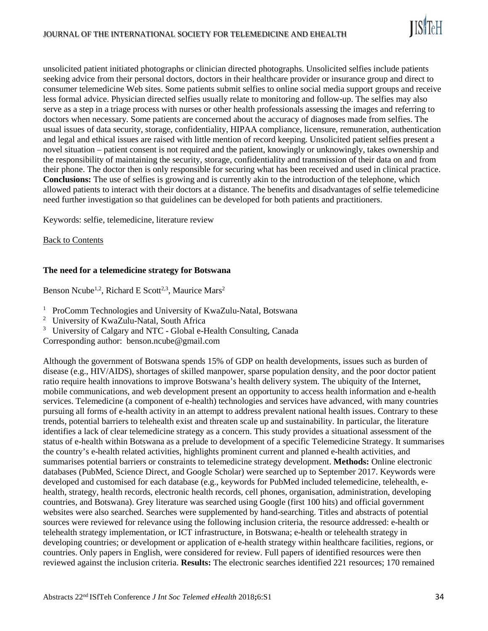

unsolicited patient initiated photographs or clinician directed photographs. Unsolicited selfies include patients seeking advice from their personal doctors, doctors in their healthcare provider or insurance group and direct to consumer telemedicine Web sites. Some patients submit selfies to online social media support groups and receive less formal advice. Physician directed selfies usually relate to monitoring and follow-up. The selfies may also serve as a step in a triage process with nurses or other health professionals assessing the images and referring to doctors when necessary. Some patients are concerned about the accuracy of diagnoses made from selfies. The usual issues of data security, storage, confidentiality, HIPAA compliance, licensure, remuneration, authentication and legal and ethical issues are raised with little mention of record keeping. Unsolicited patient selfies present a novel situation – patient consent is not required and the patient, knowingly or unknowingly, takes ownership and the responsibility of maintaining the security, storage, confidentiality and transmission of their data on and from their phone. The doctor then is only responsible for securing what has been received and used in clinical practice. **Conclusions:** The use of selfies is growing and is currently akin to the introduction of the telephone, which allowed patients to interact with their doctors at a distance. The benefits and disadvantages of selfie telemedicine need further investigation so that guidelines can be developed for both patients and practitioners.

Keywords: selfie, telemedicine, literature review

#### [Back to Contents](#page-0-0)

#### <span id="page-33-0"></span>**The need for a telemedicine strategy for Botswana**

Benson Ncube<sup>1,2</sup>, Richard E Scott<sup>2,3</sup>, Maurice Mars<sup>2</sup>

- <sup>1</sup> ProComm Technologies and University of KwaZulu-Natal, Botswana
- <sup>2</sup> University of KwaZulu-Natal, South Africa
- <sup>3</sup> University of Calgary and NTC Global e-Health Consulting, Canada

Corresponding author: benson.ncube@gmail.com

Although the government of Botswana spends 15% of GDP on health developments, issues such as burden of disease (e.g., HIV/AIDS), shortages of skilled manpower, sparse population density, and the poor doctor patient ratio require health innovations to improve Botswana's health delivery system. The ubiquity of the Internet, mobile communications, and web development present an opportunity to access health information and e-health services. Telemedicine (a component of e-health) technologies and services have advanced, with many countries pursuing all forms of e-health activity in an attempt to address prevalent national health issues. Contrary to these trends, potential barriers to telehealth exist and threaten scale up and sustainability. In particular, the literature identifies a lack of clear telemedicine strategy as a concern. This study provides a situational assessment of the status of e-health within Botswana as a prelude to development of a specific Telemedicine Strategy. It summarises the country's e-health related activities, highlights prominent current and planned e-health activities, and summarises potential barriers or constraints to telemedicine strategy development. **Methods:** Online electronic databases (PubMed, Science Direct, and Google Scholar) were searched up to September 2017. Keywords were developed and customised for each database (e.g., keywords for PubMed included telemedicine, telehealth, ehealth, strategy, health records, electronic health records, cell phones, organisation, administration, developing countries, and Botswana). Grey literature was searched using Google (first 100 hits) and official government websites were also searched. Searches were supplemented by hand-searching. Titles and abstracts of potential sources were reviewed for relevance using the following inclusion criteria, the resource addressed: e-health or telehealth strategy implementation, or ICT infrastructure, in Botswana; e-health or telehealth strategy in developing countries; or development or application of e-health strategy within healthcare facilities, regions, or countries. Only papers in English, were considered for review. Full papers of identified resources were then reviewed against the inclusion criteria. **Results:** The electronic searches identified 221 resources; 170 remained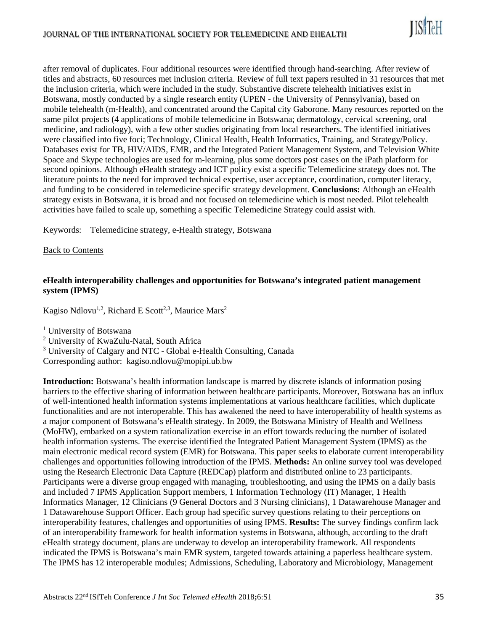

after removal of duplicates. Four additional resources were identified through hand-searching. After review of titles and abstracts, 60 resources met inclusion criteria. Review of full text papers resulted in 31 resources that met the inclusion criteria, which were included in the study. Substantive discrete telehealth initiatives exist in Botswana, mostly conducted by a single research entity (UPEN - the University of Pennsylvania), based on mobile telehealth (m-Health), and concentrated around the Capital city Gaborone. Many resources reported on the same pilot projects (4 applications of mobile telemedicine in Botswana; dermatology, cervical screening, oral medicine, and radiology), with a few other studies originating from local researchers. The identified initiatives were classified into five foci; Technology, Clinical Health, Health Informatics, Training, and Strategy/Policy. Databases exist for TB, HIV/AIDS, EMR, and the Integrated Patient Management System, and Television White Space and Skype technologies are used for m-learning, plus some doctors post cases on the iPath platform for second opinions. Although eHealth strategy and ICT policy exist a specific Telemedicine strategy does not. The literature points to the need for improved technical expertise, user acceptance, coordination, computer literacy, and funding to be considered in telemedicine specific strategy development. **Conclusions:** Although an eHealth strategy exists in Botswana, it is broad and not focused on telemedicine which is most needed. Pilot telehealth activities have failed to scale up, something a specific Telemedicine Strategy could assist with.

Keywords: Telemedicine strategy, e-Health strategy, Botswana

[Back to Contents](#page-0-0)

### <span id="page-34-0"></span>**eHealth interoperability challenges and opportunities for Botswana's integrated patient management system (IPMS)**

Kagiso Ndlovu<sup>1,2</sup>, Richard E Scott<sup>2,3</sup>, Maurice Mars<sup>2</sup>

<sup>1</sup> University of Botswana

<sup>2</sup> University of KwaZulu-Natal, South Africa

<sup>3</sup> University of Calgary and NTC - Global e-Health Consulting, Canada

Corresponding author: kagiso.ndlovu@mopipi.ub.bw

**Introduction:** Botswana's health information landscape is marred by discrete islands of information posing barriers to the effective sharing of information between healthcare participants. Moreover, Botswana has an influx of well-intentioned health information systems implementations at various healthcare facilities, which duplicate functionalities and are not interoperable. This has awakened the need to have interoperability of health systems as a major component of Botswana's eHealth strategy. In 2009, the Botswana Ministry of Health and Wellness (MoHW), embarked on a system rationalization exercise in an effort towards reducing the number of isolated health information systems. The exercise identified the Integrated Patient Management System (IPMS) as the main electronic medical record system (EMR) for Botswana. This paper seeks to elaborate current interoperability challenges and opportunities following introduction of the IPMS. **Methods:** An online survey tool was developed using the Research Electronic Data Capture (REDCap) platform and distributed online to 23 participants. Participants were a diverse group engaged with managing, troubleshooting, and using the IPMS on a daily basis and included 7 IPMS Application Support members, 1 Information Technology (IT) Manager, 1 Health Informatics Manager, 12 Clinicians (9 General Doctors and 3 Nursing clinicians), 1 Datawarehouse Manager and 1 Datawarehouse Support Officer. Each group had specific survey questions relating to their perceptions on interoperability features, challenges and opportunities of using IPMS. **Results:** The survey findings confirm lack of an interoperability framework for health information systems in Botswana, although, according to the draft eHealth strategy document, plans are underway to develop an interoperability framework. All respondents indicated the IPMS is Botswana's main EMR system, targeted towards attaining a paperless healthcare system. The IPMS has 12 interoperable modules; Admissions, Scheduling, Laboratory and Microbiology, Management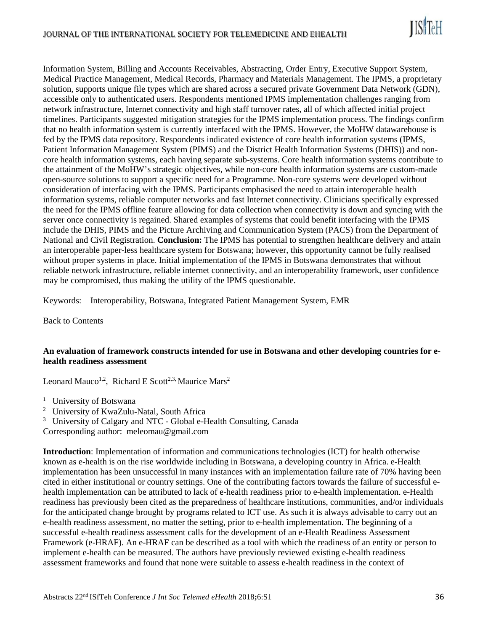

Information System, Billing and Accounts Receivables, Abstracting, Order Entry, Executive Support System, Medical Practice Management, Medical Records, Pharmacy and Materials Management. The IPMS, a proprietary solution, supports unique file types which are shared across a secured private Government Data Network (GDN), accessible only to authenticated users. Respondents mentioned IPMS implementation challenges ranging from network infrastructure, Internet connectivity and high staff turnover rates, all of which affected initial project timelines. Participants suggested mitigation strategies for the IPMS implementation process. The findings confirm that no health information system is currently interfaced with the IPMS. However, the MoHW datawarehouse is fed by the IPMS data repository. Respondents indicated existence of core health information systems (IPMS, Patient Information Management System (PIMS) and the District Health Information Systems (DHIS)) and noncore health information systems, each having separate sub-systems. Core health information systems contribute to the attainment of the MoHW's strategic objectives, while non-core health information systems are custom-made open-source solutions to support a specific need for a Programme. Non-core systems were developed without consideration of interfacing with the IPMS. Participants emphasised the need to attain interoperable health information systems, reliable computer networks and fast Internet connectivity. Clinicians specifically expressed the need for the IPMS offline feature allowing for data collection when connectivity is down and syncing with the server once connectivity is regained. Shared examples of systems that could benefit interfacing with the IPMS include the DHIS, PIMS and the Picture Archiving and Communication System (PACS) from the Department of National and Civil Registration. **Conclusion:** The IPMS has potential to strengthen healthcare delivery and attain an interoperable paper-less healthcare system for Botswana; however, this opportunity cannot be fully realised without proper systems in place. Initial implementation of the IPMS in Botswana demonstrates that without reliable network infrastructure, reliable internet connectivity, and an interoperability framework, user confidence may be compromised, thus making the utility of the IPMS questionable.

Keywords: Interoperability, Botswana, Integrated Patient Management System, EMR

#### [Back to Contents](#page-0-0)

# <span id="page-35-0"></span>**An evaluation of framework constructs intended for use in Botswana and other developing countries for ehealth readiness assessment**

Leonard Mauco<sup>1,2</sup>, Richard E Scott<sup>2,3,</sup> Maurice Mars<sup>2</sup>

- <sup>1</sup> University of Botswana
- <sup>2</sup> University of KwaZulu-Natal, South Africa
- <sup>3</sup> University of Calgary and NTC Global e-Health Consulting, Canada

Corresponding author: meleomau@gmail.com

**Introduction**: Implementation of information and communications technologies (ICT) for health otherwise known as e-health is on the rise worldwide including in Botswana, a developing country in Africa. e-Health implementation has been unsuccessful in many instances with an implementation failure rate of 70% having been cited in either institutional or country settings. One of the contributing factors towards the failure of successful ehealth implementation can be attributed to lack of e-health readiness prior to e-health implementation. e-Health readiness has previously been cited as the preparedness of healthcare institutions, communities, and/or individuals for the anticipated change brought by programs related to ICT use. As such it is always advisable to carry out an e-health readiness assessment, no matter the setting, prior to e-health implementation. The beginning of a successful e-health readiness assessment calls for the development of an e-Health Readiness Assessment Framework (e-HRAF). An e-HRAF can be described as a tool with which the readiness of an entity or person to implement e-health can be measured. The authors have previously reviewed existing e-health readiness assessment frameworks and found that none were suitable to assess e-health readiness in the context of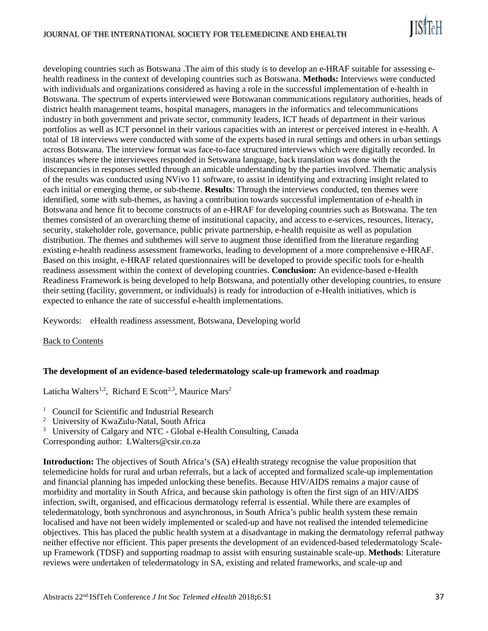

developing countries such as Botswana .The aim of this study is to develop an e-HRAF suitable for assessing ehealth readiness in the context of developing countries such as Botswana. **Methods:** Interviews were conducted with individuals and organizations considered as having a role in the successful implementation of e-health in Botswana. The spectrum of experts interviewed were Botswanan communications regulatory authorities, heads of district health management teams, hospital managers, managers in the informatics and telecommunications industry in both government and private sector, community leaders, ICT heads of department in their various portfolios as well as ICT personnel in their various capacities with an interest or perceived interest in e-health. A total of 18 interviews were conducted with some of the experts based in rural settings and others in urban settings across Botswana. The interview format was face-to-face structured interviews which were digitally recorded. In instances where the interviewees responded in Setswana language, back translation was done with the discrepancies in responses settled through an amicable understanding by the parties involved. Thematic analysis of the results was conducted using NVivo 11 software, to assist in identifying and extracting insight related to each initial or emerging theme, or sub-theme. **Results**: Through the interviews conducted, ten themes were identified, some with sub-themes, as having a contribution towards successful implementation of e-health in Botswana and hence fit to become constructs of an e-HRAF for developing countries such as Botswana. The ten themes consisted of an overarching theme of institutional capacity, and access to e-services, resources, literacy, security, stakeholder role, governance, public private partnership, e-health requisite as well as population distribution. The themes and subthemes will serve to augment those identified from the literature regarding existing e-health readiness assessment frameworks, leading to development of a more comprehensive e-HRAF. Based on this insight, e-HRAF related questionnaires will be developed to provide specific tools for e-health readiness assessment within the context of developing countries. **Conclusion:** An evidence-based e-Health Readiness Framework is being developed to help Botswana, and potentially other developing countries, to ensure their setting (facility, government, or individuals) is ready for introduction of e-Health initiatives, which is expected to enhance the rate of successful e-health implementations.

Keywords: eHealth readiness assessment, Botswana, Developing world

[Back to Contents](#page-0-0)

#### <span id="page-36-0"></span>**The development of an evidence-based teledermatology scale-up framework and roadmap**

Laticha Walters<sup>1,2</sup>, Richard E Scott<sup>2,3</sup>, Maurice Mars<sup>2</sup>

- <sup>1</sup> Council for Scientific and Industrial Research
- <sup>2</sup> University of KwaZulu-Natal, South Africa
- <sup>3</sup> University of Calgary and NTC Global e-Health Consulting, Canada

Corresponding author: LWalters@csir.co.za

**Introduction:** The objectives of South Africa's (SA) eHealth strategy recognise the value proposition that telemedicine holds for rural and urban referrals, but a lack of accepted and formalized scale-up implementation and financial planning has impeded unlocking these benefits. Because HIV/AIDS remains a major cause of morbidity and mortality in South Africa, and because skin pathology is often the first sign of an HIV/AIDS infection, swift, organised, and efficacious dermatology referral is essential. While there are examples of teledermatology, both synchronous and asynchronous, in South Africa's public health system these remain localised and have not been widely implemented or scaled-up and have not realised the intended telemedicine objectives. This has placed the public health system at a disadvantage in making the dermatology referral pathway neither effective nor efficient. This paper presents the development of an evidenced-based teledermatology Scaleup Framework (TDSF) and supporting roadmap to assist with ensuring sustainable scale-up. **Methods**: Literature reviews were undertaken of teledermatology in SA, existing and related frameworks, and scale-up and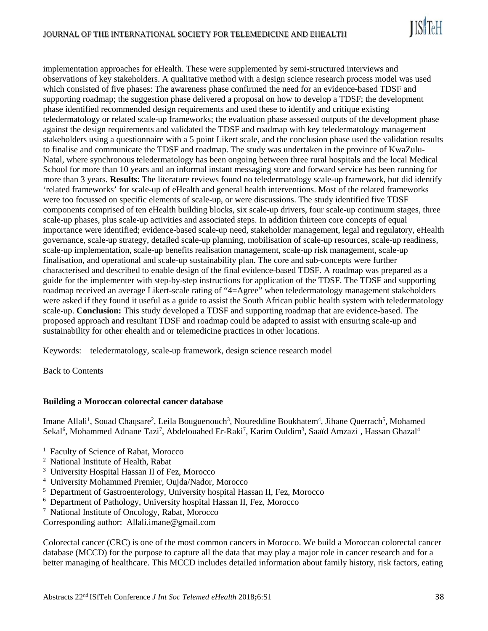

implementation approaches for eHealth. These were supplemented by semi-structured interviews and observations of key stakeholders. A qualitative method with a design science research process model was used which consisted of five phases: The awareness phase confirmed the need for an evidence-based TDSF and supporting roadmap; the suggestion phase delivered a proposal on how to develop a TDSF; the development phase identified recommended design requirements and used these to identify and critique existing teledermatology or related scale-up frameworks; the evaluation phase assessed outputs of the development phase against the design requirements and validated the TDSF and roadmap with key teledermatology management stakeholders using a questionnaire with a 5 point Likert scale, and the conclusion phase used the validation results to finalise and communicate the TDSF and roadmap. The study was undertaken in the province of KwaZulu-Natal, where synchronous teledermatology has been ongoing between three rural hospitals and the local Medical School for more than 10 years and an informal instant messaging store and forward service has been running for more than 3 years. **Results**: The literature reviews found no teledermatology scale-up framework, but did identify 'related frameworks' for scale-up of eHealth and general health interventions. Most of the related frameworks were too focussed on specific elements of scale-up, or were discussions. The study identified five TDSF components comprised of ten eHealth building blocks, six scale-up drivers, four scale-up continuum stages, three scale-up phases, plus scale-up activities and associated steps. In addition thirteen core concepts of equal importance were identified; evidence-based scale-up need, stakeholder management, legal and regulatory, eHealth governance, scale-up strategy, detailed scale-up planning, mobilisation of scale-up resources, scale-up readiness, scale-up implementation, scale-up benefits realisation management, scale-up risk management, scale-up finalisation, and operational and scale-up sustainability plan. The core and sub-concepts were further characterised and described to enable design of the final evidence-based TDSF. A roadmap was prepared as a guide for the implementer with step-by-step instructions for application of the TDSF. The TDSF and supporting roadmap received an average Likert-scale rating of "4=Agree" when teledermatology management stakeholders were asked if they found it useful as a guide to assist the South African public health system with teledermatology scale-up. **Conclusion:** This study developed a TDSF and supporting roadmap that are evidence-based. The proposed approach and resultant TDSF and roadmap could be adapted to assist with ensuring scale-up and sustainability for other ehealth and or telemedicine practices in other locations.

Keywords: teledermatology, scale-up framework, design science research model

[Back to Contents](#page-0-0)

#### <span id="page-37-0"></span>**Building a Moroccan colorectal cancer database**

Imane Allali<sup>1</sup>, Souad Chaqsare<sup>2</sup>, Leila Bouguenouch<sup>3</sup>, Noureddine Boukhatem<sup>4</sup>, Jihane Querrach<sup>5</sup>, Mohamed Sekal<sup>6</sup>, Mohammed Adnane Tazi<sup>7</sup>, Abdelouahed Er-Raki<sup>7</sup>, Karim Ouldim<sup>3</sup>, Saaïd Amzazi<sup>1</sup>, Hassan Ghazal<sup>4</sup>

- <sup>1</sup> Faculty of Science of Rabat, Morocco
- <sup>2</sup> National Institute of Health, Rabat
- 3 University Hospital Hassan II of Fez, Morocco
- 4 University Mohammed Premier, Oujda/Nador, Morocco
- <sup>5</sup> Department of Gastroenterology, University hospital Hassan II, Fez, Morocco
- 6 Department of Pathology, University hospital Hassan II, Fez, Morocco
- 7 National Institute of Oncology, Rabat, Morocco
- Corresponding author: Allali.imane@gmail.com

Colorectal cancer (CRC) is one of the most common cancers in Morocco. We build a Moroccan colorectal cancer database (MCCD) for the purpose to capture all the data that may play a major role in cancer research and for a better managing of healthcare. This MCCD includes detailed information about family history, risk factors, eating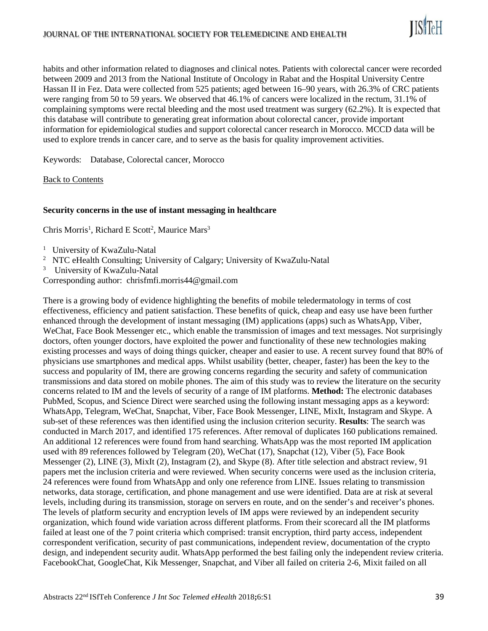

habits and other information related to diagnoses and clinical notes. Patients with colorectal cancer were recorded between 2009 and 2013 from the National Institute of Oncology in Rabat and the Hospital University Centre Hassan II in Fez. Data were collected from 525 patients; aged between 16–90 years, with 26.3% of CRC patients were ranging from 50 to 59 years. We observed that 46.1% of cancers were localized in the rectum, 31.1% of complaining symptoms were rectal bleeding and the most used treatment was surgery (62.2%). It is expected that this database will contribute to generating great information about colorectal cancer, provide important information for epidemiological studies and support colorectal cancer research in Morocco. MCCD data will be used to explore trends in cancer care, and to serve as the basis for quality improvement activities.

Keywords: Database, Colorectal cancer, Morocco

[Back to Contents](#page-0-0)

#### <span id="page-38-0"></span>**Security concerns in the use of instant messaging in healthcare**

Chris Morris<sup>1</sup>, Richard E Scott<sup>2</sup>, Maurice Mars<sup>3</sup>

- <sup>1</sup> University of KwaZulu-Natal
- <sup>2</sup> NTC eHealth Consulting; University of Calgary; University of KwaZulu-Natal
- <sup>3</sup> University of KwaZulu-Natal

Corresponding author: chrisfmfi.morris44@gmail.com

There is a growing body of evidence highlighting the benefits of mobile teledermatology in terms of cost effectiveness, efficiency and patient satisfaction. These benefits of quick, cheap and easy use have been further enhanced through the development of instant messaging (IM) applications (apps) such as WhatsApp, Viber, WeChat, Face Book Messenger etc., which enable the transmission of images and text messages. Not surprisingly doctors, often younger doctors, have exploited the power and functionality of these new technologies making existing processes and ways of doing things quicker, cheaper and easier to use. A recent survey found that 80% of physicians use smartphones and medical apps. Whilst usability (better, cheaper, faster) has been the key to the success and popularity of IM, there are growing concerns regarding the security and safety of communication transmissions and data stored on mobile phones. The aim of this study was to review the literature on the security concerns related to IM and the levels of security of a range of IM platforms. **Method:** The electronic databases PubMed, Scopus, and Science Direct were searched using the following instant messaging apps as a keyword: WhatsApp, Telegram, WeChat, Snapchat, Viber, Face Book Messenger, LINE, MixIt, Instagram and Skype. A sub-set of these references was then identified using the inclusion criterion security. **Results**: The search was conducted in March 2017, and identified 175 references. After removal of duplicates 160 publications remained. An additional 12 references were found from hand searching. WhatsApp was the most reported IM application used with 89 references followed by Telegram (20), WeChat (17), Snapchat (12), Viber (5), Face Book Messenger (2), LINE (3), MixIt (2), Instagram (2), and Skype (8). After title selection and abstract review, 91 papers met the inclusion criteria and were reviewed. When security concerns were used as the inclusion criteria, 24 references were found from WhatsApp and only one reference from LINE. Issues relating to transmission networks, data storage, certification, and phone management and use were identified. Data are at risk at several levels, including during its transmission, storage on servers en route, and on the sender's and receiver's phones. The levels of platform security and encryption levels of IM apps were reviewed by an independent security organization, which found wide variation across different platforms. From their scorecard all the IM platforms failed at least one of the 7 point criteria which comprised: transit encryption, third party access, independent correspondent verification, security of past communications, independent review, documentation of the crypto design, and independent security audit. WhatsApp performed the best failing only the independent review criteria. FacebookChat, GoogleChat, Kik Messenger, Snapchat, and Viber all failed on criteria 2-6, Mixit failed on all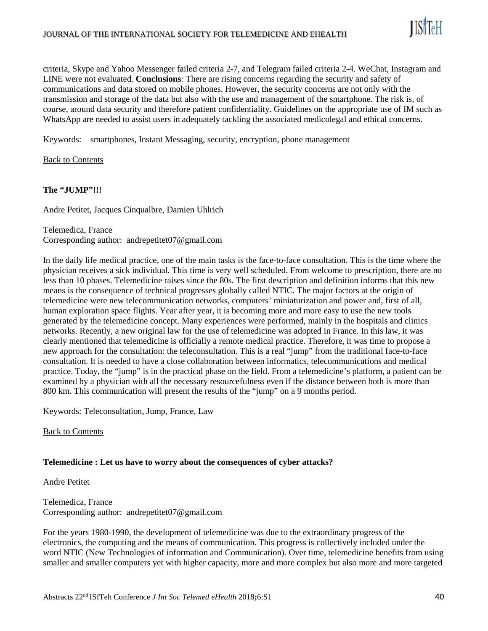

criteria, Skype and Yahoo Messenger failed criteria 2-7, and Telegram failed criteria 2-4. WeChat, Instagram and LINE were not evaluated. **Conclusions**: There are rising concerns regarding the security and safety of communications and data stored on mobile phones. However, the security concerns are not only with the transmission and storage of the data but also with the use and management of the smartphone. The risk is, of course, around data security and therefore patient confidentiality. Guidelines on the appropriate use of IM such as WhatsApp are needed to assist users in adequately tackling the associated medicolegal and ethical concerns.

Keywords: smartphones, Instant Messaging, security, encryption, phone management

[Back to Contents](#page-0-0)

#### <span id="page-39-1"></span>**The "JUMP"!!!**

Andre Petitet, Jacques Cinqualbre, Damien Uhlrich

Telemedica, France Corresponding author: andrepetitet07@gmail.com

In the daily life medical practice, one of the main tasks is the face-to-face consultation. This is the time where the physician receives a sick individual. This time is very well scheduled. From welcome to prescription, there are no less than 10 phases. Telemedicine raises since the 80s. The first description and definition informs that this new means is the consequence of technical progresses globally called NTIC. The major factors at the origin of telemedicine were new telecommunication networks, computers' miniaturization and power and, first of all, human exploration space flights. Year after year, it is becoming more and more easy to use the new tools generated by the telemedicine concept. Many experiences were performed, mainly in the hospitals and clinics networks. Recently, a new original law for the use of telemedicine was adopted in France. In this law, it was clearly mentioned that telemedicine is officially a remote medical practice. Therefore, it was time to propose a new approach for the consultation: the teleconsultation. This is a real "jump" from the traditional face-to-face consultation. It is needed to have a close collaboration between informatics, telecommunications and medical practice. Today, the "jump" is in the practical phase on the field. From a telemedicine's platform, a patient can be examined by a physician with all the necessary resourcefulness even if the distance between both is more than 800 km. This communication will present the results of the "jump" on a 9 months period.

Keywords: Teleconsultation, Jump, France, Law

[Back to Contents](#page-0-0)

#### <span id="page-39-0"></span>**Telemedicine : Let us have to worry about the consequences of cyber attacks?**

Andre Petitet

Telemedica, France Corresponding author: andrepetitet07@gmail.com

For the years 1980-1990, the development of telemedicine was due to the extraordinary progress of the electronics, the computing and the means of communication. This progress is collectively included under the word NTIC (New Technologies of information and Communication). Over time, telemedicine benefits from using smaller and smaller computers yet with higher capacity, more and more complex but also more and more targeted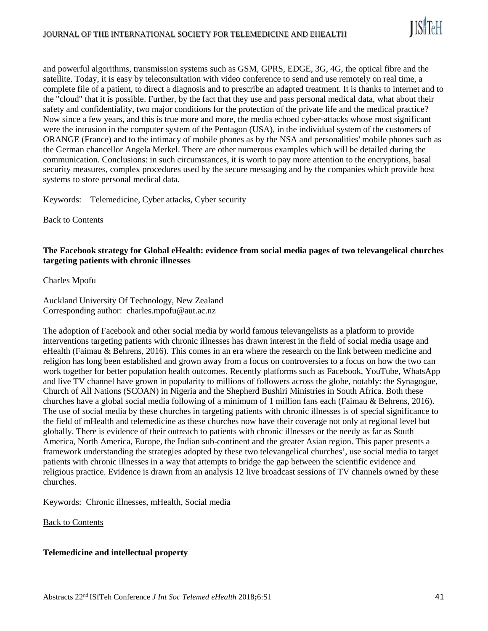

and powerful algorithms, transmission systems such as GSM, GPRS, EDGE, 3G, 4G, the optical fibre and the satellite. Today, it is easy by teleconsultation with video conference to send and use remotely on real time, a complete file of a patient, to direct a diagnosis and to prescribe an adapted treatment. It is thanks to internet and to the "cloud" that it is possible. Further, by the fact that they use and pass personal medical data, what about their safety and confidentiality, two major conditions for the protection of the private life and the medical practice? Now since a few years, and this is true more and more, the media echoed cyber-attacks whose most significant were the intrusion in the computer system of the Pentagon (USA), in the individual system of the customers of ORANGE (France) and to the intimacy of mobile phones as by the NSA and personalities' mobile phones such as the German chancellor Angela Merkel. There are other numerous examples which will be detailed during the communication. Conclusions: in such circumstances, it is worth to pay more attention to the encryptions, basal security measures, complex procedures used by the secure messaging and by the companies which provide host systems to store personal medical data.

Keywords: Telemedicine, Cyber attacks, Cyber security

[Back to Contents](#page-0-0)

# <span id="page-40-1"></span>**The Facebook strategy for Global eHealth: evidence from social media pages of two televangelical churches targeting patients with chronic illnesses**

Charles Mpofu

Auckland University Of Technology, New Zealand Corresponding author: charles.mpofu@aut.ac.nz

The adoption of Facebook and other social media by world famous televangelists as a platform to provide interventions targeting patients with chronic illnesses has drawn interest in the field of social media usage and eHealth (Faimau & Behrens, 2016). This comes in an era where the research on the link between medicine and religion has long been established and grown away from a focus on controversies to a focus on how the two can work together for better population health outcomes. Recently platforms such as Facebook, YouTube, WhatsApp and live TV channel have grown in popularity to millions of followers across the globe, notably: the Synagogue, Church of All Nations (SCOAN) in Nigeria and the Shepherd Bushiri Ministries in South Africa. Both these churches have a global social media following of a minimum of 1 million fans each (Faimau & Behrens, 2016). The use of social media by these churches in targeting patients with chronic illnesses is of special significance to the field of mHealth and telemedicine as these churches now have their coverage not only at regional level but globally. There is evidence of their outreach to patients with chronic illnesses or the needy as far as South America, North America, Europe, the Indian sub-continent and the greater Asian region. This paper presents a framework understanding the strategies adopted by these two televangelical churches', use social media to target patients with chronic illnesses in a way that attempts to bridge the gap between the scientific evidence and religious practice. Evidence is drawn from an analysis 12 live broadcast sessions of TV channels owned by these churches.

Keywords: Chronic illnesses, mHealth, Social media

[Back to Contents](#page-0-0)

#### <span id="page-40-0"></span>**Telemedicine and intellectual property**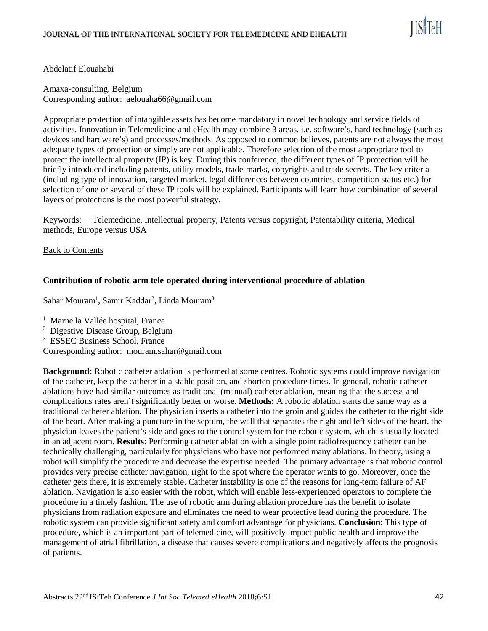

#### Abdelatif Elouahabi

Amaxa-consulting, Belgium Corresponding author: aelouaha66@gmail.com

Appropriate protection of intangible assets has become mandatory in novel technology and service fields of activities. Innovation in Telemedicine and eHealth may combine 3 areas, i.e. software's, hard technology (such as devices and hardware's) and processes/methods. As opposed to common believes, patents are not always the most adequate types of protection or simply are not applicable. Therefore selection of the most appropriate tool to protect the intellectual property (IP) is key. During this conference, the different types of IP protection will be briefly introduced including patents, utility models, trade-marks, copyrights and trade secrets. The key criteria (including type of innovation, targeted market, legal differences between countries, competition status etc.) for selection of one or several of these IP tools will be explained. Participants will learn how combination of several layers of protections is the most powerful strategy.

Keywords: Telemedicine, Intellectual property, Patents versus copyright, Patentability criteria, Medical methods, Europe versus USA

#### [Back to Contents](#page-0-0)

### <span id="page-41-0"></span>**Contribution of robotic arm tele-operated during interventional procedure of ablation**

Sahar Mouram<sup>1</sup>, Samir Kaddar<sup>2</sup>, Linda Mouram<sup>3</sup>

<sup>1</sup> Marne la Vallée hospital, France

<sup>2</sup> Digestive Disease Group, Belgium

3 ESSEC Business School, France

Corresponding author: mouram.sahar@gmail.com

**Background:** Robotic catheter ablation is performed at some centres. Robotic systems could improve navigation of the catheter, keep the catheter in a stable position, and shorten procedure times. In general, robotic catheter ablations have had similar outcomes as traditional (manual) catheter ablation, meaning that the success and complications rates aren't significantly better or worse. **Methods:** A robotic ablation starts the same way as a traditional catheter ablation. The physician inserts a catheter into the groin and guides the catheter to the right side of the heart. After making a puncture in the septum, the wall that separates the right and left sides of the heart, the physician leaves the patient's side and goes to the control system for the robotic system, which is usually located in an adjacent room. **Results**: Performing catheter ablation with a single point radiofrequency catheter can be technically challenging, particularly for physicians who have not performed many ablations. In theory, using a robot will simplify the procedure and decrease the expertise needed. The primary advantage is that robotic control provides very precise catheter navigation, right to the spot where the operator wants to go. Moreover, once the catheter gets there, it is extremely stable. Catheter instability is one of the reasons for long-term failure of AF ablation. Navigation is also easier with the robot, which will enable less-experienced operators to complete the procedure in a timely fashion. The use of robotic arm during ablation procedure has the benefit to isolate physicians from radiation exposure and eliminates the need to wear protective lead during the procedure. The robotic system can provide significant safety and comfort advantage for physicians. **Conclusion**: This type of procedure, which is an important part of telemedicine, will positively impact public health and improve the management of atrial fibrillation, a disease that causes severe complications and negatively affects the prognosis of patients.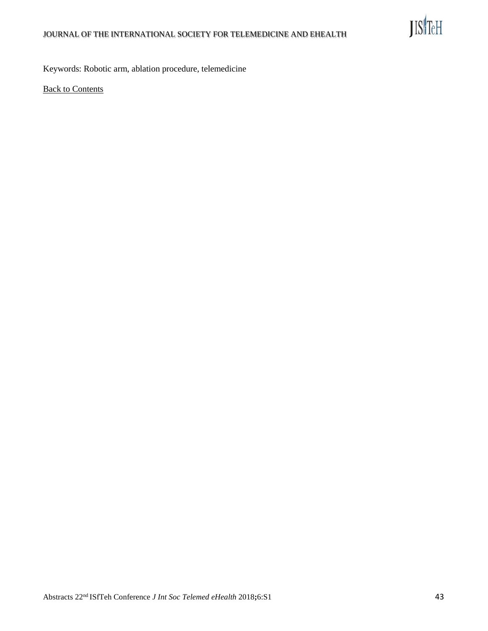

Keywords: Robotic arm, ablation procedure, telemedicine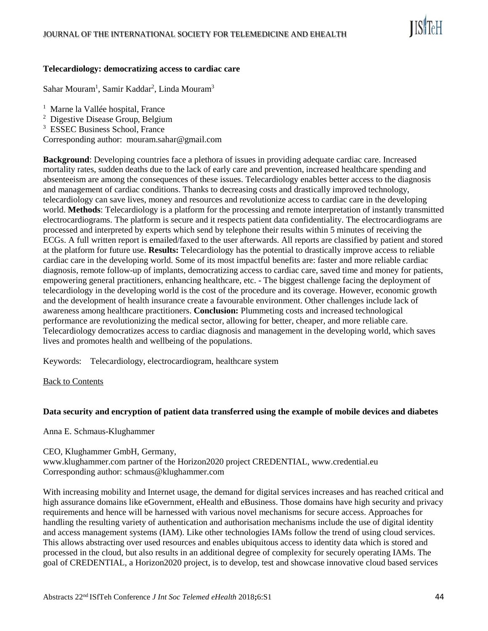

#### <span id="page-43-1"></span>**Telecardiology: democratizing access to cardiac care**

Sahar Mouram<sup>1</sup>, Samir Kaddar<sup>2</sup>, Linda Mouram<sup>3</sup>

<sup>1</sup> Marne la Vallée hospital, France

<sup>2</sup> Digestive Disease Group, Belgium

3 ESSEC Business School, France

Corresponding author: mouram.sahar@gmail.com

**Background**: Developing countries face a plethora of issues in providing adequate cardiac care. Increased mortality rates, sudden deaths due to the lack of early care and prevention, increased healthcare spending and absenteeism are among the consequences of these issues. Telecardiology enables better access to the diagnosis and management of cardiac conditions. Thanks to decreasing costs and drastically improved technology, telecardiology can save lives, money and resources and revolutionize access to cardiac care in the developing world. **Methods**: Telecardiology is a platform for the processing and remote interpretation of instantly transmitted electrocardiograms. The platform is secure and it respects patient data confidentiality. The electrocardiograms are processed and interpreted by experts which send by telephone their results within 5 minutes of receiving the ECGs. A full written report is emailed/faxed to the user afterwards. All reports are classified by patient and stored at the platform for future use. **Results:** Telecardiology has the potential to drastically improve access to reliable cardiac care in the developing world. Some of its most impactful benefits are: faster and more reliable cardiac diagnosis, remote follow-up of implants, democratizing access to cardiac care, saved time and money for patients, empowering general practitioners, enhancing healthcare, etc. - The biggest challenge facing the deployment of telecardiology in the developing world is the cost of the procedure and its coverage. However, economic growth and the development of health insurance create a favourable environment. Other challenges include lack of awareness among healthcare practitioners. **Conclusion:** Plummeting costs and increased technological performance are revolutionizing the medical sector, allowing for better, cheaper, and more reliable care. Telecardiology democratizes access to cardiac diagnosis and management in the developing world, which saves lives and promotes health and wellbeing of the populations.

Keywords: Telecardiology, electrocardiogram, healthcare system

[Back to Contents](#page-0-0)

#### <span id="page-43-0"></span>**Data security and encryption of patient data transferred using the example of mobile devices and diabetes**

Anna E. Schmaus-Klughammer

CEO, Klughammer GmbH, Germany, www.klughammer.com partner of the Horizon2020 project CREDENTIAL, www.credential.eu Corresponding author: schmaus@klughammer.com

With increasing mobility and Internet usage, the demand for digital services increases and has reached critical and high assurance domains like eGovernment, eHealth and eBusiness. Those domains have high security and privacy requirements and hence will be harnessed with various novel mechanisms for secure access. Approaches for handling the resulting variety of authentication and authorisation mechanisms include the use of digital identity and access management systems (IAM). Like other technologies IAMs follow the trend of using cloud services. This allows abstracting over used resources and enables ubiquitous access to identity data which is stored and processed in the cloud, but also results in an additional degree of complexity for securely operating IAMs. The goal of CREDENTIAL, a Horizon2020 project, is to develop, test and showcase innovative cloud based services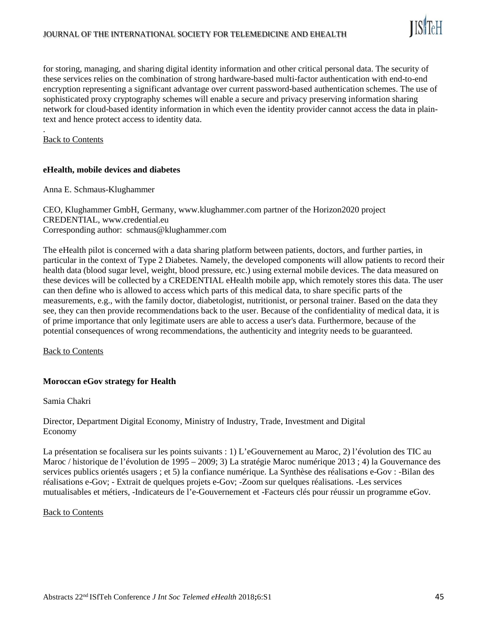

for storing, managing, and sharing digital identity information and other critical personal data. The security of these services relies on the combination of strong hardware-based multi-factor authentication with end-to-end encryption representing a significant advantage over current password-based authentication schemes. The use of sophisticated proxy cryptography schemes will enable a secure and privacy preserving information sharing network for cloud-based identity information in which even the identity provider cannot access the data in plaintext and hence protect access to identity data.

### [Back to Contents](#page-0-0)

.

#### <span id="page-44-0"></span>**eHealth, mobile devices and diabetes**

#### Anna E. Schmaus-Klughammer

CEO, Klughammer GmbH, Germany, www.klughammer.com partner of the Horizon2020 project CREDENTIAL, www.credential.eu Corresponding author: schmaus@klughammer.com

The eHealth pilot is concerned with a data sharing platform between patients, doctors, and further parties, in particular in the context of Type 2 Diabetes. Namely, the developed components will allow patients to record their health data (blood sugar level, weight, blood pressure, etc.) using external mobile devices. The data measured on these devices will be collected by a CREDENTIAL eHealth mobile app, which remotely stores this data. The user can then define who is allowed to access which parts of this medical data, to share specific parts of the measurements, e.g., with the family doctor, diabetologist, nutritionist, or personal trainer. Based on the data they see, they can then provide recommendations back to the user. Because of the confidentiality of medical data, it is of prime importance that only legitimate users are able to access a user's data. Furthermore, because of the potential consequences of wrong recommendations, the authenticity and integrity needs to be guaranteed.

#### [Back to Contents](#page-0-0)

#### <span id="page-44-1"></span>**Moroccan eGov strategy for Health**

Samia Chakri

Director, Department Digital Economy, Ministry of Industry, Trade, Investment and Digital Economy

La présentation se focalisera sur les points suivants : 1) L'eGouvernement au Maroc, 2) l'évolution des TIC au Maroc / historique de l'évolution de 1995 – 2009; 3) La stratégie Maroc numérique 2013 ; 4) la Gouvernance des services publics orientés usagers ; et 5) la confiance numérique. La Synthèse des réalisations e-Gov : -Bilan des réalisations e-Gov; - Extrait de quelques projets e-Gov; -Zoom sur quelques réalisations. -Les services mutualisables et métiers, -Indicateurs de l'e-Gouvernement et -Facteurs clés pour réussir un programme eGov.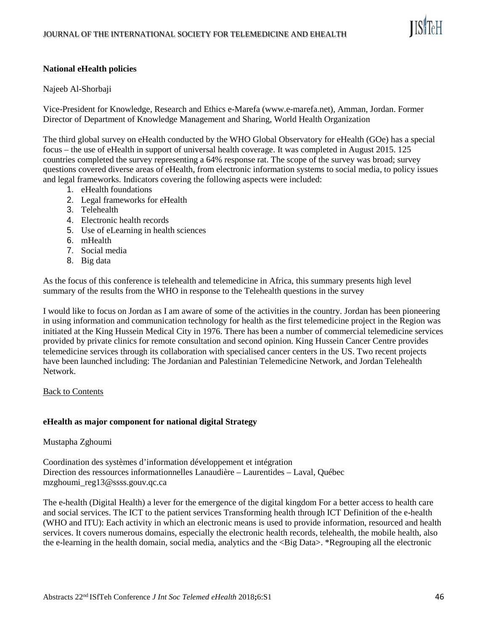

### <span id="page-45-1"></span>**National eHealth policies**

#### Najeeb Al-Shorbaji

Vice-President for Knowledge, Research and Ethics e-Marefa (www.e-marefa.net), Amman, Jordan. Former Director of Department of Knowledge Management and Sharing, World Health Organization

The third global survey on eHealth conducted by the WHO Global Observatory for eHealth (GOe) has a special focus – the use of eHealth in support of universal health coverage. It was completed in August 2015. 125 countries completed the survey representing a 64% response rat. The scope of the survey was broad; survey questions covered diverse areas of eHealth, from electronic information systems to social media, to policy issues and legal frameworks. Indicators covering the following aspects were included:

- 1. eHealth foundations
- 2. Legal frameworks for eHealth
- 3. Telehealth
- 4. Electronic health records
- 5. Use of eLearning in health sciences
- 6. mHealth
- 7. Social media
- 8. Big data

As the focus of this conference is telehealth and telemedicine in Africa, this summary presents high level summary of the results from the WHO in response to the Telehealth questions in the survey

I would like to focus on Jordan as I am aware of some of the activities in the country. Jordan has been pioneering in using information and communication technology for health as the first telemedicine project in the Region was initiated at the King Hussein Medical City in 1976. There has been a number of commercial telemedicine services provided by private clinics for remote consultation and second opinion. King Hussein Cancer Centre provides telemedicine services through its collaboration with specialised cancer centers in the US. Two recent projects have been launched including: The Jordanian and Palestinian Telemedicine Network, and Jordan Telehealth Network.

#### [Back to Contents](#page-0-0)

#### <span id="page-45-0"></span>**eHealth as major component for national digital Strategy**

#### Mustapha Zghoumi

Coordination des systèmes d'information développement et intégration Direction des ressources informationnelles Lanaudière – Laurentides – Laval, Québec mzghoumi\_reg13@ssss.gouv.qc.ca

The e-health (Digital Health) a lever for the emergence of the digital kingdom For a better access to health care and social services. The ICT to the patient services Transforming health through ICT Definition of the e-health (WHO and ITU): Each activity in which an electronic means is used to provide information, resourced and health services. It covers numerous domains, especially the electronic health records, telehealth, the mobile health, also the e-learning in the health domain, social media, analytics and the <Big Data>. \*Regrouping all the electronic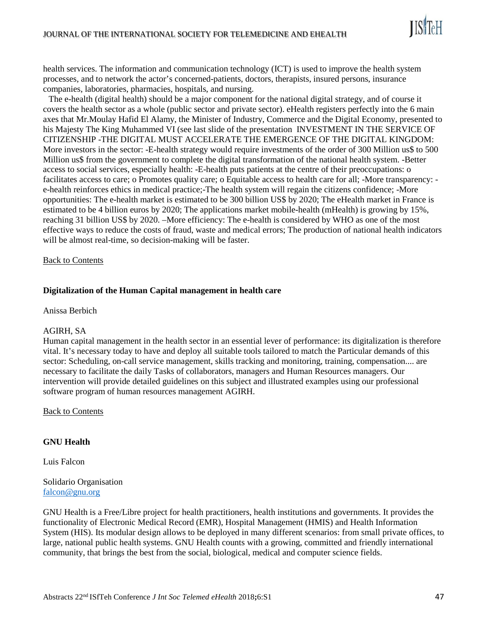

health services. The information and communication technology (ICT) is used to improve the health system processes, and to network the actor's concerned-patients, doctors, therapists, insured persons, insurance companies, laboratories, pharmacies, hospitals, and nursing.

The e-health (digital health) should be a major component for the national digital strategy, and of course it covers the health sector as a whole (public sector and private sector). eHealth registers perfectly into the 6 main axes that Mr.Moulay Hafid El Alamy, the Minister of Industry, Commerce and the Digital Economy, presented to his Majesty The King Muhammed VI (see last slide of the presentation INVESTMENT IN THE SERVICE OF CITIZENSHIP -THE DIGITAL MUST ACCELERATE THE EMERGENCE OF THE DIGITAL KINGDOM: More investors in the sector: -E-health strategy would require investments of the order of 300 Million us\$ to 500 Million us\$ from the government to complete the digital transformation of the national health system. -Better access to social services, especially health: -E-health puts patients at the centre of their preoccupations: o facilitates access to care; o Promotes quality care; o Equitable access to health care for all; -More transparency: e-health reinforces ethics in medical practice;-The health system will regain the citizens confidence; -More opportunities: The e-health market is estimated to be 300 billion US\$ by 2020; The eHealth market in France is estimated to be 4 billion euros by 2020; The applications market mobile-health (mHealth) is growing by 15%, reaching 31 billion US\$ by 2020. –More efficiency: The e-health is considered by WHO as one of the most effective ways to reduce the costs of fraud, waste and medical errors; The production of national health indicators will be almost real-time, so decision-making will be faster.

#### [Back to Contents](#page-0-0)

#### <span id="page-46-0"></span>**Digitalization of the Human Capital management in health care**

Anissa Berbich

#### AGIRH, SA

Human capital management in the health sector in an essential lever of performance: its digitalization is therefore vital. It's necessary today to have and deploy all suitable tools tailored to match the Particular demands of this sector: Scheduling, on-call service management, skills tracking and monitoring, training, compensation.... are necessary to facilitate the daily Tasks of collaborators, managers and Human Resources managers. Our intervention will provide detailed guidelines on this subject and illustrated examples using our professional software program of human resources management AGIRH.

#### [Back to Contents](#page-0-0)

#### <span id="page-46-1"></span>**GNU Health**

Luis Falcon

#### Solidario Organisation [falcon@gnu.org](mailto:falcon@gnu.org)

GNU Health is a Free/Libre project for health practitioners, health institutions and governments. It provides the functionality of Electronic Medical Record (EMR), Hospital Management (HMIS) and Health Information System (HIS). Its modular design allows to be deployed in many different scenarios: from small private offices, to large, national public health systems. GNU Health counts with a growing, committed and friendly international community, that brings the best from the social, biological, medical and computer science fields.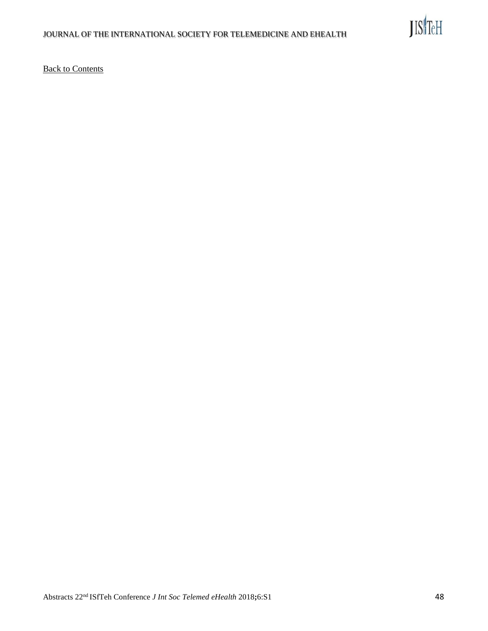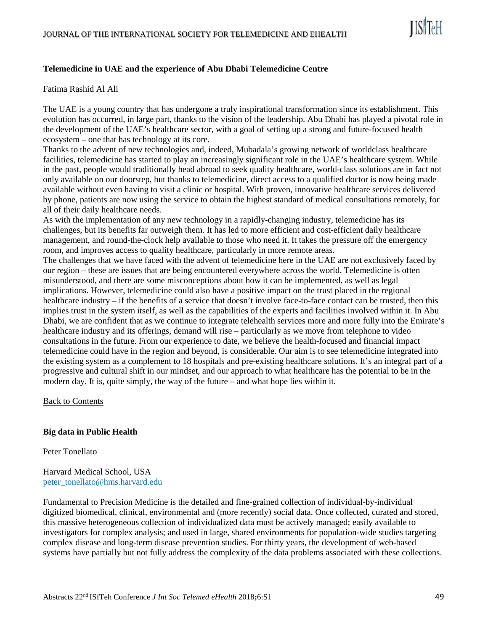

#### <span id="page-48-1"></span>**Telemedicine in UAE and the experience of Abu Dhabi Telemedicine Centre**

Fatima Rashid Al Ali

The UAE is a young country that has undergone a truly inspirational transformation since its establishment. This evolution has occurred, in large part, thanks to the vision of the leadership. Abu Dhabi has played a pivotal role in the development of the UAE's healthcare sector, with a goal of setting up a strong and future-focused health ecosystem – one that has technology at its core.

Thanks to the advent of new technologies and, indeed, Mubadala's growing network of worldclass healthcare facilities, telemedicine has started to play an increasingly significant role in the UAE's healthcare system. While in the past, people would traditionally head abroad to seek quality healthcare, world-class solutions are in fact not only available on our doorstep, but thanks to telemedicine, direct access to a qualified doctor is now being made available without even having to visit a clinic or hospital. With proven, innovative healthcare services delivered by phone, patients are now using the service to obtain the highest standard of medical consultations remotely, for all of their daily healthcare needs.

As with the implementation of any new technology in a rapidly-changing industry, telemedicine has its challenges, but its benefits far outweigh them. It has led to more efficient and cost-efficient daily healthcare management, and round-the-clock help available to those who need it. It takes the pressure off the emergency room, and improves access to quality healthcare, particularly in more remote areas.

The challenges that we have faced with the advent of telemedicine here in the UAE are not exclusively faced by our region – these are issues that are being encountered everywhere across the world. Telemedicine is often misunderstood, and there are some misconceptions about how it can be implemented, as well as legal implications. However, telemedicine could also have a positive impact on the trust placed in the regional healthcare industry – if the benefits of a service that doesn't involve face-to-face contact can be trusted, then this implies trust in the system itself, as well as the capabilities of the experts and facilities involved within it. In Abu Dhabi, we are confident that as we continue to integrate telehealth services more and more fully into the Emirate's healthcare industry and its offerings, demand will rise – particularly as we move from telephone to video consultations in the future. From our experience to date, we believe the health-focused and financial impact telemedicine could have in the region and beyond, is considerable. Our aim is to see telemedicine integrated into the existing system as a complement to 18 hospitals and pre-existing healthcare solutions. It's an integral part of a progressive and cultural shift in our mindset, and our approach to what healthcare has the potential to be in the modern day. It is, quite simply, the way of the future – and what hope lies within it.

[Back to Contents](#page-0-0)

#### <span id="page-48-0"></span>**Big data in Public Health**

Peter Tonellato

Harvard Medical School, USA [peter\\_tonellato@hms.harvard.edu](mailto:peter_tonellato@hms.harvard.edu)

Fundamental to Precision Medicine is the detailed and fine-grained collection of individual-by-individual digitized biomedical, clinical, environmental and (more recently) social data. Once collected, curated and stored, this massive heterogeneous collection of individualized data must be actively managed; easily available to investigators for complex analysis; and used in large, shared environments for population-wide studies targeting complex disease and long-term disease prevention studies. For thirty years, the development of web-based systems have partially but not fully address the complexity of the data problems associated with these collections.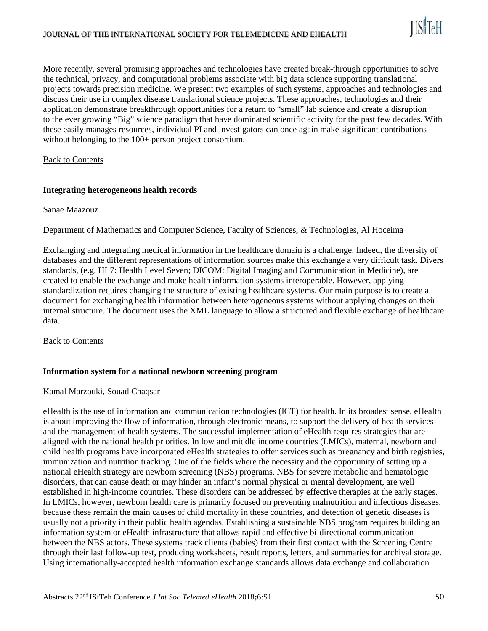

More recently, several promising approaches and technologies have created break-through opportunities to solve the technical, privacy, and computational problems associate with big data science supporting translational projects towards precision medicine. We present two examples of such systems, approaches and technologies and discuss their use in complex disease translational science projects. These approaches, technologies and their application demonstrate breakthrough opportunities for a return to "small" lab science and create a disruption to the ever growing "Big" science paradigm that have dominated scientific activity for the past few decades. With these easily manages resources, individual PI and investigators can once again make significant contributions without belonging to the 100+ person project consortium.

### [Back to Contents](#page-0-0)

#### <span id="page-49-0"></span>**Integrating heterogeneous health records**

#### Sanae Maazouz

Department of Mathematics and Computer Science, Faculty of Sciences, & Technologies, Al Hoceima

Exchanging and integrating medical information in the healthcare domain is a challenge. Indeed, the diversity of databases and the different representations of information sources make this exchange a very difficult task. Divers standards, (e.g. HL7: Health Level Seven; DICOM: Digital Imaging and Communication in Medicine), are created to enable the exchange and make health information systems interoperable. However, applying standardization requires changing the structure of existing healthcare systems. Our main purpose is to create a document for exchanging health information between heterogeneous systems without applying changes on their internal structure. The document uses the XML language to allow a structured and flexible exchange of healthcare data.

#### [Back to Contents](#page-0-0)

#### <span id="page-49-1"></span>**Information system for a national newborn screening program**

#### Kamal Marzouki, Souad Chaqsar

eHealth is the use of information and communication technologies (ICT) for health. In its broadest sense, eHealth is about improving the flow of information, through electronic means, to support the delivery of health services and the management of health systems. The successful implementation of eHealth requires strategies that are aligned with the national health priorities. In low and middle income countries (LMICs), maternal, newborn and child health programs have incorporated eHealth strategies to offer services such as pregnancy and birth registries, immunization and nutrition tracking. One of the fields where the necessity and the opportunity of setting up a national eHealth strategy are newborn screening (NBS) programs. NBS for severe metabolic and hematologic disorders, that can cause death or may hinder an infant's normal physical or mental development, are well established in high-income countries. These disorders can be addressed by effective therapies at the early stages. In LMICs, however, newborn health care is primarily focused on preventing malnutrition and infectious diseases, because these remain the main causes of child mortality in these countries, and detection of genetic diseases is usually not a priority in their public health agendas. Establishing a sustainable NBS program requires building an information system or eHealth infrastructure that allows rapid and effective bi-directional communication between the NBS actors. These systems track clients (babies) from their first contact with the Screening Centre through their last follow-up test, producing worksheets, result reports, letters, and summaries for archival storage. Using internationally-accepted health information exchange standards allows data exchange and collaboration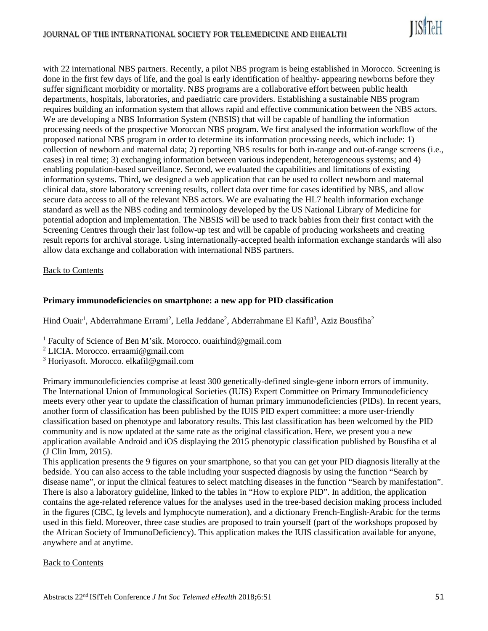

with 22 international NBS partners. Recently, a pilot NBS program is being established in Morocco. Screening is done in the first few days of life, and the goal is early identification of healthy- appearing newborns before they suffer significant morbidity or mortality. NBS programs are a collaborative effort between public health departments, hospitals, laboratories, and paediatric care providers. Establishing a sustainable NBS program requires building an information system that allows rapid and effective communication between the NBS actors. We are developing a NBS Information System (NBSIS) that will be capable of handling the information processing needs of the prospective Moroccan NBS program. We first analysed the information workflow of the proposed national NBS program in order to determine its information processing needs, which include: 1) collection of newborn and maternal data; 2) reporting NBS results for both in-range and out-of-range screens (i.e., cases) in real time; 3) exchanging information between various independent, heterogeneous systems; and 4) enabling population-based surveillance. Second, we evaluated the capabilities and limitations of existing information systems. Third, we designed a web application that can be used to collect newborn and maternal clinical data, store laboratory screening results, collect data over time for cases identified by NBS, and allow secure data access to all of the relevant NBS actors. We are evaluating the HL7 health information exchange standard as well as the NBS coding and terminology developed by the US National Library of Medicine for potential adoption and implementation. The NBSIS will be used to track babies from their first contact with the Screening Centres through their last follow-up test and will be capable of producing worksheets and creating result reports for archival storage. Using internationally-accepted health information exchange standards will also allow data exchange and collaboration with international NBS partners.

# Back to [Contents](#page-0-0)

# <span id="page-50-0"></span>**Primary immunodeficiencies on smartphone: a new app for PID classification**

Hind Ouair<sup>1</sup>, Abderrahmane Errami<sup>2</sup>, Leïla Jeddane<sup>2</sup>, Abderrahmane El Kafil<sup>3</sup>, Aziz Bousfiha<sup>2</sup>

- <sup>1</sup> Faculty of Science of Ben M'sik. Morocco. ouairhind@gmail.com
- <sup>2</sup> LICIA. Morocco. erraami@gmail.com
- <sup>3</sup> Horiyasoft. Morocco. elkafil@gmail.com

Primary immunodeficiencies comprise at least 300 genetically-defined single-gene inborn errors of immunity. The International Union of Immunological Societies (IUIS) Expert Committee on Primary Immunodeficiency meets every other year to update the classification of human primary immunodeficiencies (PIDs). In recent years, another form of classification has been published by the IUIS PID expert committee: a more user-friendly classification based on phenotype and laboratory results. This last classification has been welcomed by the PID community and is now updated at the same rate as the original classification. Here, we present you a new application available Android and iOS displaying the 2015 phenotypic classification published by Bousfiha et al (J Clin Imm, 2015).

This application presents the 9 figures on your smartphone, so that you can get your PID diagnosis literally at the bedside. You can also access to the table including your suspected diagnosis by using the function "Search by disease name", or input the clinical features to select matching diseases in the function "Search by manifestation". There is also a laboratory guideline, linked to the tables in "How to explore PID". In addition, the application contains the age-related reference values for the analyses used in the tree-based decision making process included in the figures (CBC, Ig levels and lymphocyte numeration), and a dictionary French-English-Arabic for the terms used in this field. Moreover, three case studies are proposed to train yourself (part of the workshops proposed by the African Society of ImmunoDeficiency). This application makes the IUIS classification available for anyone, anywhere and at anytime.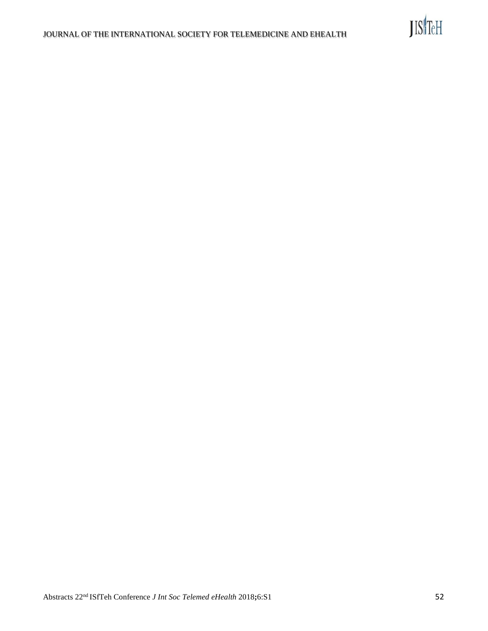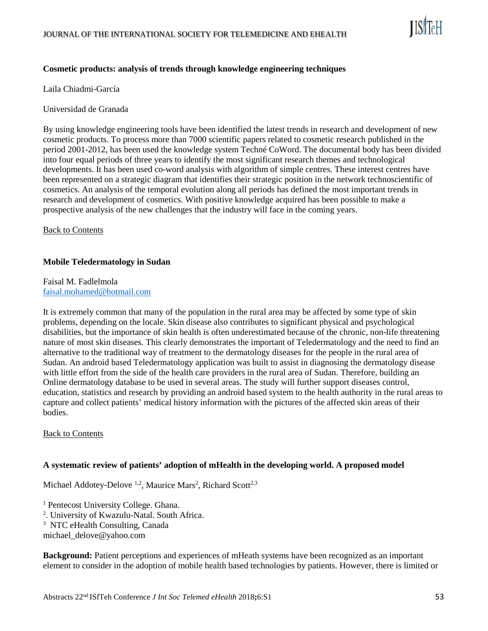

#### <span id="page-52-1"></span>**Cosmetic products: analysis of trends through knowledge engineering techniques**

Laila Chiadmi-García

#### Universidad de Granada

By using knowledge engineering tools have been identified the latest trends in research and development of new cosmetic products. To process more than 7000 scientific papers related to cosmetic research published in the period 2001-2012, has been used the knowledge system Techné CoWord. The documental body has been divided into four equal periods of three years to identify the most significant research themes and technological developments. It has been used co-word analysis with algorithm of simple centres. These interest centres have been represented on a strategic diagram that identifies their strategic position in the network technoscientific of cosmetics. An analysis of the temporal evolution along all periods has defined the most important trends in research and development of cosmetics. With positive knowledge acquired has been possible to make a prospective analysis of the new challenges that the industry will face in the coming years.

[Back to Contents](#page-0-0)

#### <span id="page-52-2"></span>**Mobile Teledermatology in Sudan**

Faisal M. Fadlelmola [faisal.mohamed@hotmail.com](mailto:mailtofaisal.mohamed@hotmail.com)

It is extremely common that many of the population in the rural area may be affected by some type of skin problems, depending on the locale. Skin disease also contributes to significant physical and psychological disabilities, but the importance of skin health is often underestimated because of the chronic, non-life threatening nature of most skin diseases. This clearly demonstrates the important of Teledermatology and the need to find an alternative to the traditional way of treatment to the dermatology diseases for the people in the rural area of Sudan. An android based Teledermatology application was built to assist in diagnosing the dermatology disease with little effort from the side of the health care providers in the rural area of Sudan. Therefore, building an Online dermatology database to be used in several areas. The study will further support diseases control, education, statistics and research by providing an android based system to the health authority in the rural areas to capture and collect patients' medical history information with the pictures of the affected skin areas of their bodies.

#### [Back to Contents](#page-0-0)

#### <span id="page-52-0"></span>**A systematic review of patients' adoption of mHealth in the developing world. A proposed model**

Michael Addotey-Delove <sup>1,2</sup>, Maurice Mars<sup>2</sup>, Richard Scott<sup>2,3</sup>

<sup>1</sup> Pentecost University College. Ghana.

2 . University of Kwazulu-Natal. South Africa.

<sup>3</sup> NTC eHealth Consulting, Canada

michael\_delove@yahoo.com

**Background:** Patient perceptions and experiences of mHeath systems have been recognized as an important element to consider in the adoption of mobile health based technologies by patients. However, there is limited or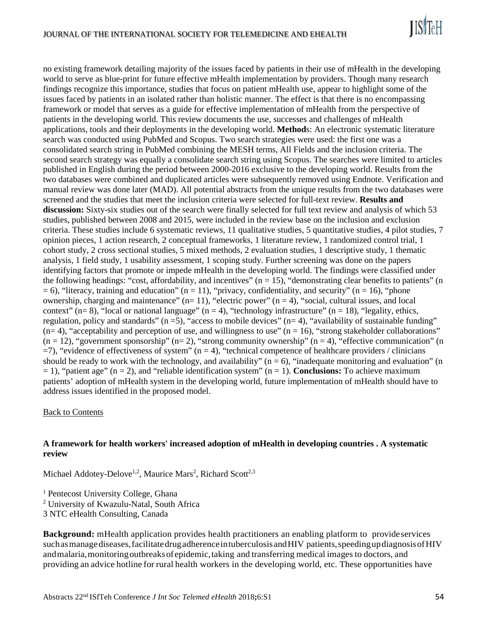

no existing framework detailing majority of the issues faced by patients in their use of mHealth in the developing world to serve as blue-print for future effective mHealth implementation by providers. Though many research findings recognize this importance, studies that focus on patient mHealth use, appear to highlight some of the issues faced by patients in an isolated rather than holistic manner. The effect is that there is no encompassing framework or model that serves as a guide for effective implementation of mHealth from the perspective of patients in the developing world. This review documents the use, successes and challenges of mHealth applications, tools and their deployments in the developing world. **Method**s: An electronic systematic literature search was conducted using PubMed and Scopus. Two search strategies were used: the first one was a consolidated search string in PubMed combining the MESH terms, All Fields and the inclusion criteria. The second search strategy was equally a consolidate search string using Scopus. The searches were limited to articles published in English during the period between 2000-2016 exclusive to the developing world. Results from the two databases were combined and duplicated articles were subsequently removed using Endnote. Verification and manual review was done later (MAD). All potential abstracts from the unique results from the two databases were screened and the studies that meet the inclusion criteria were selected for full-text review. **Results and discussion:** Sixty-six studies out of the search were finally selected for full text review and analysis of which 53 studies, published between 2008 and 2015, were included in the review base on the inclusion and exclusion criteria. These studies include 6 systematic reviews, 11 qualitative studies, 5 quantitative studies, 4 pilot studies, 7 opinion pieces, 1 action research, 2 conceptual frameworks, 1 literature review, 1 randomized control trial, 1 cohort study, 2 cross sectional studies, 5 mixed methods, 2 evaluation studies, 1 descriptive study, 1 thematic analysis, 1 field study, 1 usability assessment, 1 scoping study. Further screening was done on the papers identifying factors that promote or impede mHealth in the developing world. The findings were classified under the following headings: "cost, affordability, and incentives" ( $n = 15$ ), "demonstrating clear benefits to patients" (n  $= 6$ ), "literacy, training and education" (n = 11), "privacy, confidentiality, and security" (n = 16), "phone ownership, charging and maintenance"  $(n=11)$ , "electric power"  $(n=4)$ , "social, cultural issues, and local context" (n= 8), "local or national language" (n = 4), "technology infrastructure" (n = 18), "legality, ethics, regulation, policy and standards" ( $n = 5$ ), "access to mobile devices" ( $n = 4$ ), "availability of sustainable funding"  $(n= 4)$ , "acceptability and perception of use, and willingness to use"  $(n = 16)$ , "strong stakeholder collaborations"  $(n = 12)$ , "government sponsorship"  $(n = 2)$ , "strong community ownership"  $(n = 4)$ , "effective communication" (n  $=7$ ), "evidence of effectiveness of system" (n = 4), "technical competence of healthcare providers / clinicians should be ready to work with the technology, and availability"  $(n = 6)$ , "inadequate monitoring and evaluation" (n  $= 1$ ), "patient age" (n  $= 2$ ), and "reliable identification system" (n  $= 1$ ). **Conclusions:** To achieve maximum patients' adoption of mHealth system in the developing world, future implementation of mHealth should have to address issues identified in the proposed model.

#### [Back to Contents](#page-0-0)

# <span id="page-53-0"></span>**A framework for health workers' increased adoption of mHealth in developing countries . A systematic review**

Michael Addotey-Delove<sup>1,2</sup>, Maurice Mars<sup>2</sup>, Richard Scott<sup>2,3</sup>

<sup>1</sup> Pentecost University College, Ghana

<sup>2</sup> University of Kwazulu-Natal, South Africa

3 NTC eHealth Consulting, Canada

**Background:** mHealth application provides health practitioners an enabling platform to provideservices suchasmanagediseases,facilitatedrugadherenceintuberculosisandHIV patients,speedingupdiagnosisofHIV and malaria, monitoring outbreaks of epidemic, taking and transferring medical images to doctors, and providing an advice hotline for rural health workers in the developing world, etc. These opportunities have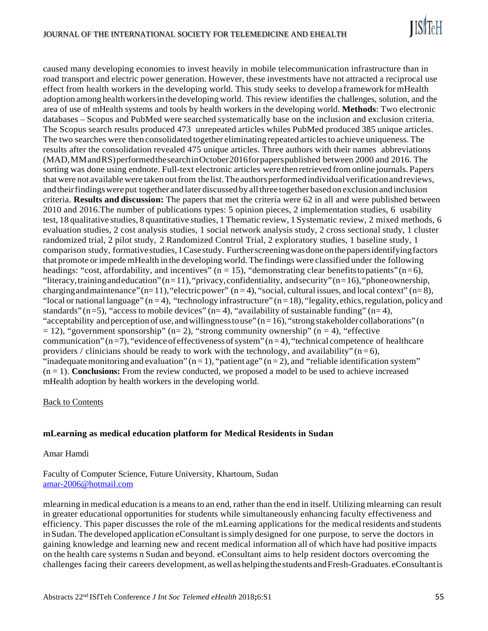

caused many developing economies to invest heavily in mobile telecommunication infrastructure than in road transport and electric power generation. However, these investments have not attracted a reciprocal use effect from health workers in the developing world. This study seeks to develop a framework formHealth adoption among healthworkersin the developing world. This review identifies the challenges, solution, and the area of use of mHealth systems and tools by health workers in the developing world. **Methods**: Two electronic databases – Scopus and PubMed were searched systematically base on the inclusion and exclusion criteria. The Scopus search results produced 473 unrepeated articles whiles PubMed produced 385 unique articles. The two searches were then consolidated together eliminating repeated articles to achieve uniqueness. The results after the consolidation revealed 475 unique articles. Three authors with their names abbreviations (MAD,MMandRS)performedthesearchinOctober2016forpaperspublished between 2000 and 2016. The sorting was done using endnote. Full-text electronic articles were then retrieved from online journals. Papers that were not available were taken out from the list. The authors performed individual verification and reviews, andtheirfindingswereput together and later discussed by allthree together based on exclusion and inclusion criteria. **Results and discussion:** The papers that met the criteria were 62 in all and were published between 2010 and 2016.The number of publications types: 5 opinion pieces, 2 implementation studies, 6 usability test, 18 qualitative studies, 8 quantitative studies, 1 Thematic review, 1 Systematic review, 2 mixed methods, 6 evaluation studies, 2 cost analysis studies, 1 social network analysis study, 2 cross sectional study, 1 cluster randomized trial, 2 pilot study, 2 Randomized Control Trial, 2 exploratory studies, 1 baseline study, 1 comparison study, formative studies, 1 Case study. Further screening was done on the papers identifying factors that promote orimpede mHealth in the developing world. The findings were classified under the following headings: "cost, affordability, and incentives" ( $n = 15$ ), "demonstrating clear benefits to patients" ( $n=6$ ), "literacy, training and education"  $(n=11)$ , "privacy, confidentiality, and security"  $(n=16)$ , "phoneownership, charging and maintenance" (n=11), "electric power" (n = 4), "social, cultural issues, and local context" (n=8), "local or national language"  $(n=4)$ , "technology infrastructure"  $(n=18)$ , "legality, ethics, regulation, policy and standards" (n=5), "access to mobile devices" (n=4), "availability of sustainable funding" (n=4), "acceptability and perception of use, and willingness to use" ( $n=16$ ), "strong stakeholder collaborations" (n  $= 12$ ), "government sponsorship" (n= 2), "strong community ownership" (n = 4), "effective communication"  $(n=7)$ , "evidence of effectiveness of system"  $(n=4)$ , "technical competence of healthcare providers / clinicians should be ready to work with the technology, and availability" ( $n = 6$ ), "inadequate monitoring and evaluation"  $(n = 1)$ , "patient age"  $(n = 2)$ , and "reliable identification system" (n = 1). **Conclusions:** From the review conducted, we proposed a model to be used to achieve increased mHealth adoption by health workers in the developing world.

#### [Back to Contents](#page-0-0)

#### <span id="page-54-0"></span>**mLearning as medical education platform for Medical Residents in Sudan**

Amar Hamdi

Faculty of Computer Science, Future University, Khartoum, Sudan [amar-2006@hotmail.com](mailto:amar-2006@hotmail.com)

mlearning in medical education is a meansto an end, rather than the end in itself. Utilizing mlearning can result in greater educational opportunities for students while simultaneously enhancing faculty effectiveness and efficiency. This paper discusses the role of the mLearning applications for the medicalresidents and students in Sudan. The developed application eConsultant issimply designed for one purpose, to serve the doctors in gaining knowledge and learning new and recent medical information all of which have had positive impacts on the health care systems n Sudan and beyond. eConsultant aims to help resident doctors overcoming the challenges facing their careers development, aswellashelpingthestudents andFresh-Graduates.eConsultantis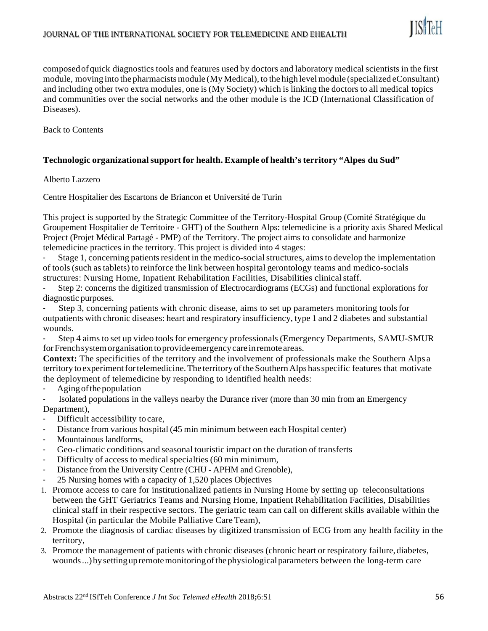

composedofquick diagnostics tools and features used by doctors and laboratory medical scientists in the first module, moving into the pharmacists module (My Medical), to the high level module (specialized eConsultant) and including other two extra modules, one is(My Society) which is linking the doctors to all medical topics and communities over the social networks and the other module is the ICD (International Classification of Diseases).

# [Back to Contents](#page-0-0)

# <span id="page-55-0"></span>**Technologic organizationalsupport for health. Example of health'sterritory "Alpes du Sud"**

Alberto Lazzero

Centre Hospitalier des Escartons de Briancon et Université de Turin

This project is supported by the Strategic Committee of the Territory-Hospital Group (Comité Stratégique du Groupement Hospitalier de Territoire - GHT) of the Southern Alps: telemedicine is a priority axis Shared Medical Project (Projet Médical Partagé - PMP) of the Territory. The project aims to consolidate and harmonize telemedicine practices in the territory. This project is divided into 4 stages:

Stage 1, concerning patients resident in the medico-social structures, aims to develop the implementation of tools(such astablets) to reinforce the link between hospital gerontology teams and medico-socials structures: Nursing Home, Inpatient Rehabilitation Facilities, Disabilities clinicalstaff.

- Step 2: concerns the digitized transmission of Electrocardiograms (ECGs) and functional explorations for diagnostic purposes.

Step 3, concerning patients with chronic disease, aims to set up parameters monitoring tools for outpatients with chronic diseases: heart and respiratory insufficiency, type 1 and 2 diabetes and substantial wounds.

Step 4 aims to set up video tools for emergency professionals (Emergency Departments, SAMU-SMUR forFrenchsystemorganisationtoprovide emergencycare inremote areas.

**Context:** The specificities of the territory and the involvement of professionals make the Southern Alps a territory toexperimentfortelemedicine.The territory oftheSouthernAlps hasspecific features that motivate the deployment of telemedicine by responding to identified health needs:

Aging of the population

Isolated populations in the valleys nearby the Durance river (more than 30 min from an Emergency Department).

- Difficult accessibility to care,
- Distance from various hospital (45 min minimum between each Hospital center)
- Mountainous landforms,
- Geo-climatic conditions and seasonal touristic impact on the duration of transferts
- Difficulty of access to medical specialties (60 min minimum,
- Distance from the University Centre (CHU APHM and Grenoble),
- 25 Nursing homes with a capacity of 1,520 places Objectives
- 1. Promote access to care for institutionalized patients in Nursing Home by setting up teleconsultations between the GHT Geriatrics Teams and Nursing Home, Inpatient Rehabilitation Facilities, Disabilities clinical staff in their respective sectors. The geriatric team can call on different skills available within the Hospital (in particular the Mobile Palliative Care Team),
- 2. Promote the diagnosis of cardiac diseases by digitized transmission of ECG from any health facility in the territory,
- 3. Promote the management of patients with chronic diseases (chronic heart or respiratory failure, diabetes, wounds...)bysettingupremotemonitoringofthephysiologicalparameters between the long-term care